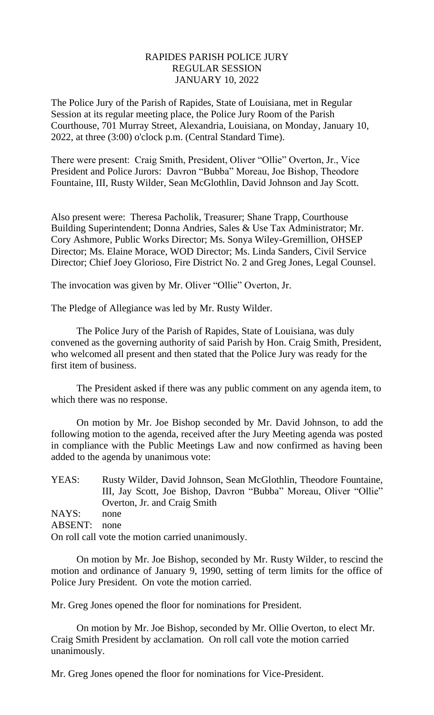# RAPIDES PARISH POLICE JURY REGULAR SESSION JANUARY 10, 2022

The Police Jury of the Parish of Rapides, State of Louisiana, met in Regular Session at its regular meeting place, the Police Jury Room of the Parish Courthouse, 701 Murray Street, Alexandria, Louisiana, on Monday, January 10, 2022, at three (3:00) o'clock p.m. (Central Standard Time).

There were present: Craig Smith, President, Oliver "Ollie" Overton, Jr., Vice President and Police Jurors: Davron "Bubba" Moreau, Joe Bishop, Theodore Fountaine, III, Rusty Wilder, Sean McGlothlin, David Johnson and Jay Scott.

Also present were: Theresa Pacholik, Treasurer; Shane Trapp, Courthouse Building Superintendent; Donna Andries, Sales & Use Tax Administrator; Mr. Cory Ashmore, Public Works Director; Ms. Sonya Wiley-Gremillion, OHSEP Director; Ms. Elaine Morace, WOD Director; Ms. Linda Sanders, Civil Service Director; Chief Joey Glorioso, Fire District No. 2 and Greg Jones, Legal Counsel.

The invocation was given by Mr. Oliver "Ollie" Overton, Jr.

The Pledge of Allegiance was led by Mr. Rusty Wilder.

The Police Jury of the Parish of Rapides, State of Louisiana, was duly convened as the governing authority of said Parish by Hon. Craig Smith, President, who welcomed all present and then stated that the Police Jury was ready for the first item of business.

The President asked if there was any public comment on any agenda item, to which there was no response.

On motion by Mr. Joe Bishop seconded by Mr. David Johnson, to add the following motion to the agenda, received after the Jury Meeting agenda was posted in compliance with the Public Meetings Law and now confirmed as having been added to the agenda by unanimous vote:

| YEAS:   | Rusty Wilder, David Johnson, Sean McGlothlin, Theodore Fountaine, |
|---------|-------------------------------------------------------------------|
|         | III, Jay Scott, Joe Bishop, Davron "Bubba" Moreau, Oliver "Ollie" |
|         | Overton, Jr. and Craig Smith                                      |
| NAYS:   | none                                                              |
| ABSENT: | none                                                              |
|         | On roll call vote the motion carried unanimously.                 |

On motion by Mr. Joe Bishop, seconded by Mr. Rusty Wilder, to rescind the motion and ordinance of January 9, 1990, setting of term limits for the office of Police Jury President. On vote the motion carried.

Mr. Greg Jones opened the floor for nominations for President.

On motion by Mr. Joe Bishop, seconded by Mr. Ollie Overton, to elect Mr. Craig Smith President by acclamation. On roll call vote the motion carried unanimously.

Mr. Greg Jones opened the floor for nominations for Vice-President.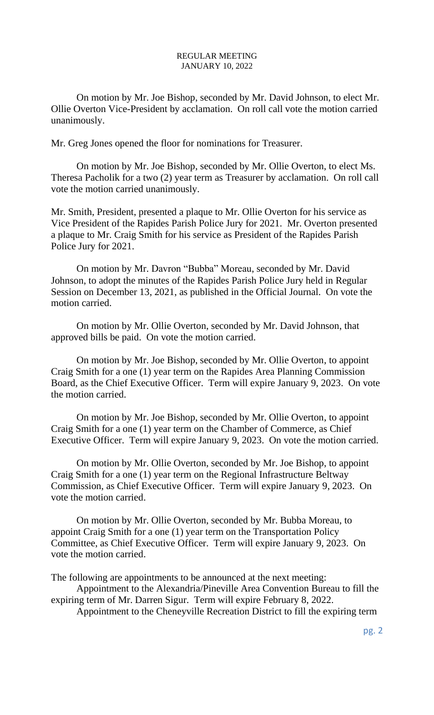On motion by Mr. Joe Bishop, seconded by Mr. David Johnson, to elect Mr. Ollie Overton Vice-President by acclamation. On roll call vote the motion carried unanimously.

Mr. Greg Jones opened the floor for nominations for Treasurer.

On motion by Mr. Joe Bishop, seconded by Mr. Ollie Overton, to elect Ms. Theresa Pacholik for a two (2) year term as Treasurer by acclamation. On roll call vote the motion carried unanimously.

Mr. Smith, President, presented a plaque to Mr. Ollie Overton for his service as Vice President of the Rapides Parish Police Jury for 2021. Mr. Overton presented a plaque to Mr. Craig Smith for his service as President of the Rapides Parish Police Jury for 2021.

On motion by Mr. Davron "Bubba" Moreau, seconded by Mr. David Johnson, to adopt the minutes of the Rapides Parish Police Jury held in Regular Session on December 13, 2021, as published in the Official Journal. On vote the motion carried.

On motion by Mr. Ollie Overton, seconded by Mr. David Johnson, that approved bills be paid. On vote the motion carried.

On motion by Mr. Joe Bishop, seconded by Mr. Ollie Overton, to appoint Craig Smith for a one (1) year term on the Rapides Area Planning Commission Board, as the Chief Executive Officer. Term will expire January 9, 2023. On vote the motion carried.

On motion by Mr. Joe Bishop, seconded by Mr. Ollie Overton, to appoint Craig Smith for a one (1) year term on the Chamber of Commerce, as Chief Executive Officer. Term will expire January 9, 2023. On vote the motion carried.

On motion by Mr. Ollie Overton, seconded by Mr. Joe Bishop, to appoint Craig Smith for a one (1) year term on the Regional Infrastructure Beltway Commission, as Chief Executive Officer. Term will expire January 9, 2023. On vote the motion carried.

On motion by Mr. Ollie Overton, seconded by Mr. Bubba Moreau, to appoint Craig Smith for a one (1) year term on the Transportation Policy Committee, as Chief Executive Officer. Term will expire January 9, 2023. On vote the motion carried.

The following are appointments to be announced at the next meeting:

Appointment to the Alexandria/Pineville Area Convention Bureau to fill the expiring term of Mr. Darren Sigur. Term will expire February 8, 2022.

Appointment to the Cheneyville Recreation District to fill the expiring term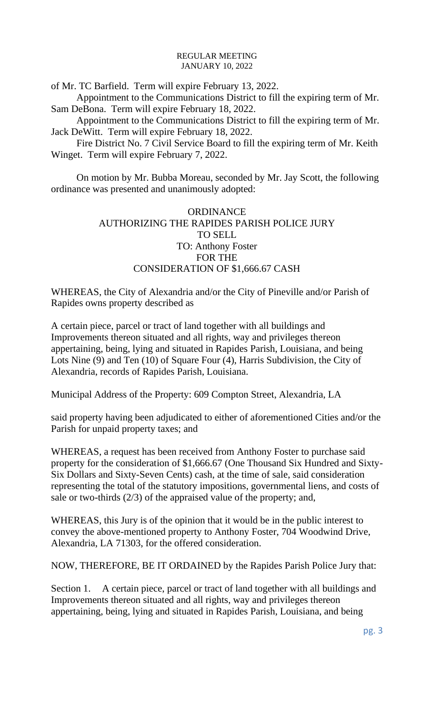of Mr. TC Barfield. Term will expire February 13, 2022.

Appointment to the Communications District to fill the expiring term of Mr. Sam DeBona. Term will expire February 18, 2022.

Appointment to the Communications District to fill the expiring term of Mr. Jack DeWitt. Term will expire February 18, 2022.

Fire District No. 7 Civil Service Board to fill the expiring term of Mr. Keith Winget. Term will expire February 7, 2022.

On motion by Mr. Bubba Moreau, seconded by Mr. Jay Scott, the following ordinance was presented and unanimously adopted:

# **ORDINANCE** AUTHORIZING THE RAPIDES PARISH POLICE JURY TO SELL TO: Anthony Foster FOR THE CONSIDERATION OF \$1,666.67 CASH

WHEREAS, the City of Alexandria and/or the City of Pineville and/or Parish of Rapides owns property described as

A certain piece, parcel or tract of land together with all buildings and Improvements thereon situated and all rights, way and privileges thereon appertaining, being, lying and situated in Rapides Parish, Louisiana, and being Lots Nine (9) and Ten (10) of Square Four (4), Harris Subdivision, the City of Alexandria, records of Rapides Parish, Louisiana.

Municipal Address of the Property: 609 Compton Street, Alexandria, LA

said property having been adjudicated to either of aforementioned Cities and/or the Parish for unpaid property taxes; and

WHEREAS, a request has been received from Anthony Foster to purchase said property for the consideration of \$1,666.67 (One Thousand Six Hundred and Sixty-Six Dollars and Sixty-Seven Cents) cash, at the time of sale, said consideration representing the total of the statutory impositions, governmental liens, and costs of sale or two-thirds (2/3) of the appraised value of the property; and,

WHEREAS, this Jury is of the opinion that it would be in the public interest to convey the above-mentioned property to Anthony Foster, 704 Woodwind Drive, Alexandria, LA 71303, for the offered consideration.

NOW, THEREFORE, BE IT ORDAINED by the Rapides Parish Police Jury that:

Section 1. A certain piece, parcel or tract of land together with all buildings and Improvements thereon situated and all rights, way and privileges thereon appertaining, being, lying and situated in Rapides Parish, Louisiana, and being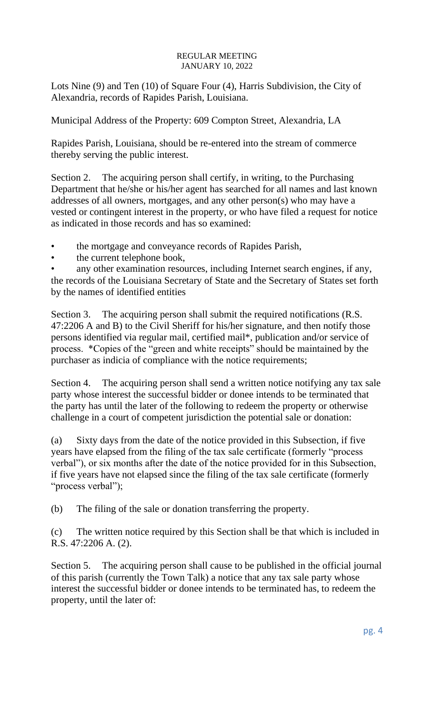Lots Nine (9) and Ten (10) of Square Four (4), Harris Subdivision, the City of Alexandria, records of Rapides Parish, Louisiana.

Municipal Address of the Property: 609 Compton Street, Alexandria, LA

Rapides Parish, Louisiana, should be re-entered into the stream of commerce thereby serving the public interest.

Section 2. The acquiring person shall certify, in writing, to the Purchasing Department that he/she or his/her agent has searched for all names and last known addresses of all owners, mortgages, and any other person(s) who may have a vested or contingent interest in the property, or who have filed a request for notice as indicated in those records and has so examined:

• the mortgage and conveyance records of Rapides Parish,

the current telephone book,

any other examination resources, including Internet search engines, if any, the records of the Louisiana Secretary of State and the Secretary of States set forth by the names of identified entities

Section 3. The acquiring person shall submit the required notifications (R.S. 47:2206 A and B) to the Civil Sheriff for his/her signature, and then notify those persons identified via regular mail, certified mail\*, publication and/or service of process. \*Copies of the "green and white receipts" should be maintained by the purchaser as indicia of compliance with the notice requirements;

Section 4. The acquiring person shall send a written notice notifying any tax sale party whose interest the successful bidder or donee intends to be terminated that the party has until the later of the following to redeem the property or otherwise challenge in a court of competent jurisdiction the potential sale or donation:

(a) Sixty days from the date of the notice provided in this Subsection, if five years have elapsed from the filing of the tax sale certificate (formerly "process verbal"), or six months after the date of the notice provided for in this Subsection, if five years have not elapsed since the filing of the tax sale certificate (formerly "process verbal");

(b) The filing of the sale or donation transferring the property.

(c) The written notice required by this Section shall be that which is included in R.S. 47:2206 A. (2).

Section 5. The acquiring person shall cause to be published in the official journal of this parish (currently the Town Talk) a notice that any tax sale party whose interest the successful bidder or donee intends to be terminated has, to redeem the property, until the later of: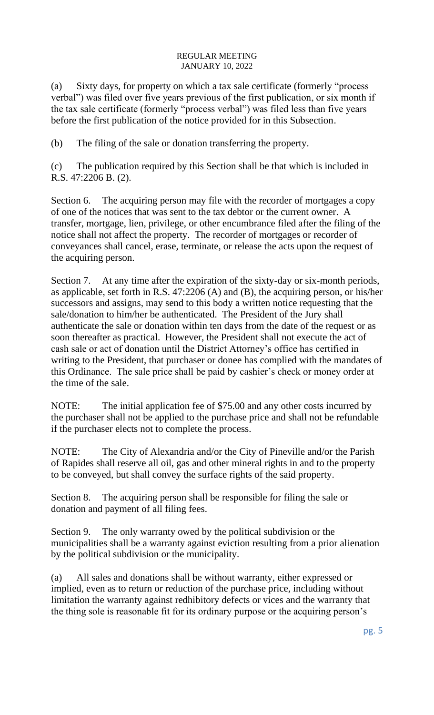(a) Sixty days, for property on which a tax sale certificate (formerly "process verbal") was filed over five years previous of the first publication, or six month if the tax sale certificate (formerly "process verbal") was filed less than five years before the first publication of the notice provided for in this Subsection.

(b) The filing of the sale or donation transferring the property.

(c) The publication required by this Section shall be that which is included in R.S. 47:2206 B. (2).

Section 6. The acquiring person may file with the recorder of mortgages a copy of one of the notices that was sent to the tax debtor or the current owner. A transfer, mortgage, lien, privilege, or other encumbrance filed after the filing of the notice shall not affect the property. The recorder of mortgages or recorder of conveyances shall cancel, erase, terminate, or release the acts upon the request of the acquiring person.

Section 7. At any time after the expiration of the sixty-day or six-month periods, as applicable, set forth in R.S. 47:2206 (A) and (B), the acquiring person, or his/her successors and assigns, may send to this body a written notice requesting that the sale/donation to him/her be authenticated. The President of the Jury shall authenticate the sale or donation within ten days from the date of the request or as soon thereafter as practical. However, the President shall not execute the act of cash sale or act of donation until the District Attorney's office has certified in writing to the President, that purchaser or donee has complied with the mandates of this Ordinance. The sale price shall be paid by cashier's check or money order at the time of the sale.

NOTE: The initial application fee of \$75.00 and any other costs incurred by the purchaser shall not be applied to the purchase price and shall not be refundable if the purchaser elects not to complete the process.

NOTE: The City of Alexandria and/or the City of Pineville and/or the Parish of Rapides shall reserve all oil, gas and other mineral rights in and to the property to be conveyed, but shall convey the surface rights of the said property.

Section 8. The acquiring person shall be responsible for filing the sale or donation and payment of all filing fees.

Section 9. The only warranty owed by the political subdivision or the municipalities shall be a warranty against eviction resulting from a prior alienation by the political subdivision or the municipality.

(a) All sales and donations shall be without warranty, either expressed or implied, even as to return or reduction of the purchase price, including without limitation the warranty against redhibitory defects or vices and the warranty that the thing sole is reasonable fit for its ordinary purpose or the acquiring person's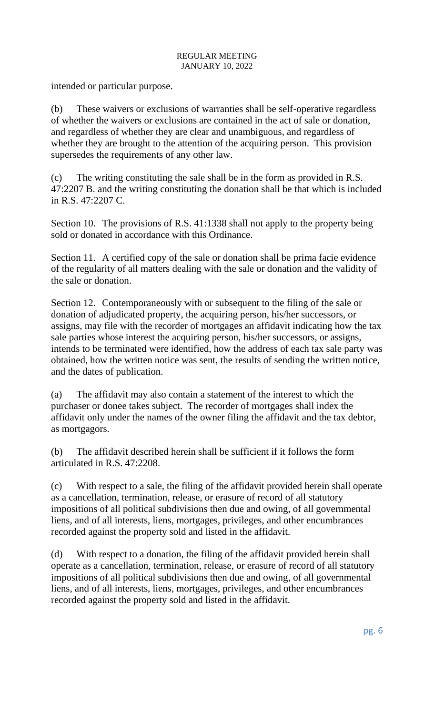intended or particular purpose.

(b) These waivers or exclusions of warranties shall be self-operative regardless of whether the waivers or exclusions are contained in the act of sale or donation, and regardless of whether they are clear and unambiguous, and regardless of whether they are brought to the attention of the acquiring person. This provision supersedes the requirements of any other law.

(c) The writing constituting the sale shall be in the form as provided in R.S. 47:2207 B. and the writing constituting the donation shall be that which is included in R.S. 47:2207 C.

Section 10. The provisions of R.S. 41:1338 shall not apply to the property being sold or donated in accordance with this Ordinance.

Section 11. A certified copy of the sale or donation shall be prima facie evidence of the regularity of all matters dealing with the sale or donation and the validity of the sale or donation.

Section 12. Contemporaneously with or subsequent to the filing of the sale or donation of adjudicated property, the acquiring person, his/her successors, or assigns, may file with the recorder of mortgages an affidavit indicating how the tax sale parties whose interest the acquiring person, his/her successors, or assigns, intends to be terminated were identified, how the address of each tax sale party was obtained, how the written notice was sent, the results of sending the written notice, and the dates of publication.

(a) The affidavit may also contain a statement of the interest to which the purchaser or donee takes subject. The recorder of mortgages shall index the affidavit only under the names of the owner filing the affidavit and the tax debtor, as mortgagors.

(b) The affidavit described herein shall be sufficient if it follows the form articulated in R.S. 47:2208.

(c) With respect to a sale, the filing of the affidavit provided herein shall operate as a cancellation, termination, release, or erasure of record of all statutory impositions of all political subdivisions then due and owing, of all governmental liens, and of all interests, liens, mortgages, privileges, and other encumbrances recorded against the property sold and listed in the affidavit.

(d) With respect to a donation, the filing of the affidavit provided herein shall operate as a cancellation, termination, release, or erasure of record of all statutory impositions of all political subdivisions then due and owing, of all governmental liens, and of all interests, liens, mortgages, privileges, and other encumbrances recorded against the property sold and listed in the affidavit.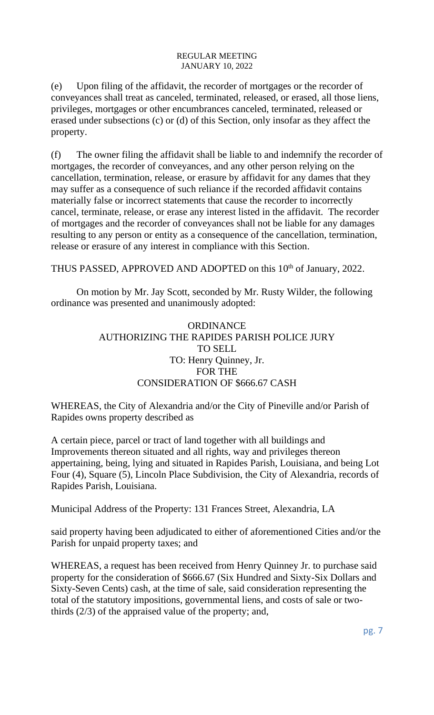(e) Upon filing of the affidavit, the recorder of mortgages or the recorder of conveyances shall treat as canceled, terminated, released, or erased, all those liens, privileges, mortgages or other encumbrances canceled, terminated, released or erased under subsections (c) or (d) of this Section, only insofar as they affect the property.

(f) The owner filing the affidavit shall be liable to and indemnify the recorder of mortgages, the recorder of conveyances, and any other person relying on the cancellation, termination, release, or erasure by affidavit for any dames that they may suffer as a consequence of such reliance if the recorded affidavit contains materially false or incorrect statements that cause the recorder to incorrectly cancel, terminate, release, or erase any interest listed in the affidavit. The recorder of mortgages and the recorder of conveyances shall not be liable for any damages resulting to any person or entity as a consequence of the cancellation, termination, release or erasure of any interest in compliance with this Section.

THUS PASSED, APPROVED AND ADOPTED on this 10<sup>th</sup> of January, 2022.

On motion by Mr. Jay Scott, seconded by Mr. Rusty Wilder, the following ordinance was presented and unanimously adopted:

# **ORDINANCE** AUTHORIZING THE RAPIDES PARISH POLICE JURY TO SELL TO: Henry Quinney, Jr. FOR THE CONSIDERATION OF \$666.67 CASH

WHEREAS, the City of Alexandria and/or the City of Pineville and/or Parish of Rapides owns property described as

A certain piece, parcel or tract of land together with all buildings and Improvements thereon situated and all rights, way and privileges thereon appertaining, being, lying and situated in Rapides Parish, Louisiana, and being Lot Four (4), Square (5), Lincoln Place Subdivision, the City of Alexandria, records of Rapides Parish, Louisiana.

Municipal Address of the Property: 131 Frances Street, Alexandria, LA

said property having been adjudicated to either of aforementioned Cities and/or the Parish for unpaid property taxes; and

WHEREAS, a request has been received from Henry Quinney Jr. to purchase said property for the consideration of \$666.67 (Six Hundred and Sixty-Six Dollars and Sixty-Seven Cents) cash, at the time of sale, said consideration representing the total of the statutory impositions, governmental liens, and costs of sale or twothirds (2/3) of the appraised value of the property; and,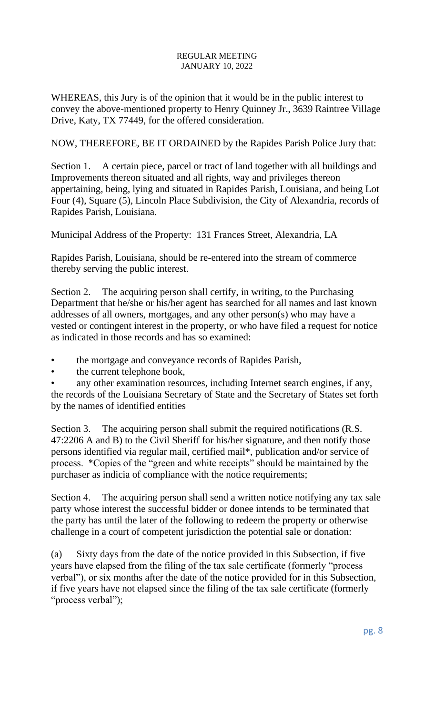WHEREAS, this Jury is of the opinion that it would be in the public interest to convey the above-mentioned property to Henry Quinney Jr., 3639 Raintree Village Drive, Katy, TX 77449, for the offered consideration.

NOW, THEREFORE, BE IT ORDAINED by the Rapides Parish Police Jury that:

Section 1. A certain piece, parcel or tract of land together with all buildings and Improvements thereon situated and all rights, way and privileges thereon appertaining, being, lying and situated in Rapides Parish, Louisiana, and being Lot Four (4), Square (5), Lincoln Place Subdivision, the City of Alexandria, records of Rapides Parish, Louisiana.

Municipal Address of the Property: 131 Frances Street, Alexandria, LA

Rapides Parish, Louisiana, should be re-entered into the stream of commerce thereby serving the public interest.

Section 2. The acquiring person shall certify, in writing, to the Purchasing Department that he/she or his/her agent has searched for all names and last known addresses of all owners, mortgages, and any other person(s) who may have a vested or contingent interest in the property, or who have filed a request for notice as indicated in those records and has so examined:

- the mortgage and conveyance records of Rapides Parish,
- the current telephone book,

any other examination resources, including Internet search engines, if any, the records of the Louisiana Secretary of State and the Secretary of States set forth by the names of identified entities

Section 3. The acquiring person shall submit the required notifications (R.S. 47:2206 A and B) to the Civil Sheriff for his/her signature, and then notify those persons identified via regular mail, certified mail\*, publication and/or service of process. \*Copies of the "green and white receipts" should be maintained by the purchaser as indicia of compliance with the notice requirements;

Section 4. The acquiring person shall send a written notice notifying any tax sale party whose interest the successful bidder or donee intends to be terminated that the party has until the later of the following to redeem the property or otherwise challenge in a court of competent jurisdiction the potential sale or donation:

(a) Sixty days from the date of the notice provided in this Subsection, if five years have elapsed from the filing of the tax sale certificate (formerly "process verbal"), or six months after the date of the notice provided for in this Subsection, if five years have not elapsed since the filing of the tax sale certificate (formerly "process verbal");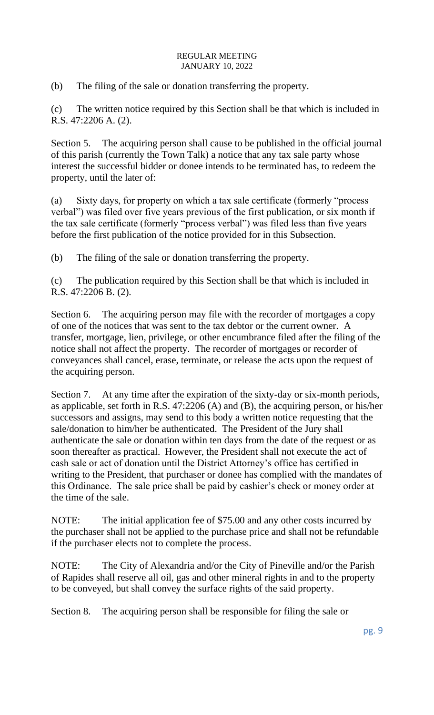(b) The filing of the sale or donation transferring the property.

(c) The written notice required by this Section shall be that which is included in R.S. 47:2206 A. (2).

Section 5. The acquiring person shall cause to be published in the official journal of this parish (currently the Town Talk) a notice that any tax sale party whose interest the successful bidder or donee intends to be terminated has, to redeem the property, until the later of:

(a) Sixty days, for property on which a tax sale certificate (formerly "process verbal") was filed over five years previous of the first publication, or six month if the tax sale certificate (formerly "process verbal") was filed less than five years before the first publication of the notice provided for in this Subsection.

(b) The filing of the sale or donation transferring the property.

(c) The publication required by this Section shall be that which is included in R.S. 47:2206 B. (2).

Section 6. The acquiring person may file with the recorder of mortgages a copy of one of the notices that was sent to the tax debtor or the current owner. A transfer, mortgage, lien, privilege, or other encumbrance filed after the filing of the notice shall not affect the property. The recorder of mortgages or recorder of conveyances shall cancel, erase, terminate, or release the acts upon the request of the acquiring person.

Section 7. At any time after the expiration of the sixty-day or six-month periods, as applicable, set forth in R.S. 47:2206 (A) and (B), the acquiring person, or his/her successors and assigns, may send to this body a written notice requesting that the sale/donation to him/her be authenticated. The President of the Jury shall authenticate the sale or donation within ten days from the date of the request or as soon thereafter as practical. However, the President shall not execute the act of cash sale or act of donation until the District Attorney's office has certified in writing to the President, that purchaser or donee has complied with the mandates of this Ordinance. The sale price shall be paid by cashier's check or money order at the time of the sale.

NOTE: The initial application fee of \$75.00 and any other costs incurred by the purchaser shall not be applied to the purchase price and shall not be refundable if the purchaser elects not to complete the process.

NOTE: The City of Alexandria and/or the City of Pineville and/or the Parish of Rapides shall reserve all oil, gas and other mineral rights in and to the property to be conveyed, but shall convey the surface rights of the said property.

Section 8. The acquiring person shall be responsible for filing the sale or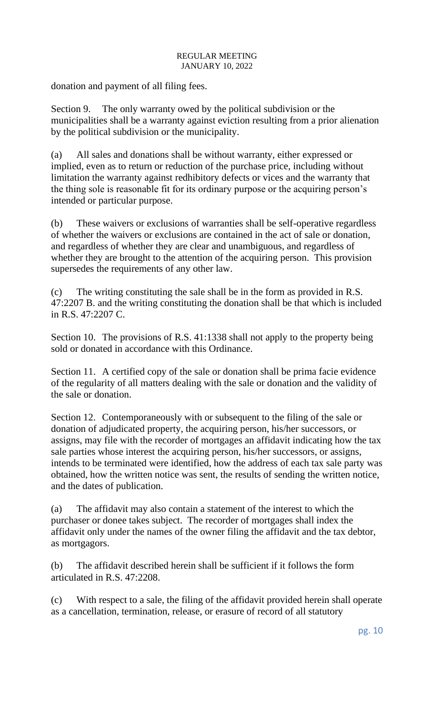donation and payment of all filing fees.

Section 9. The only warranty owed by the political subdivision or the municipalities shall be a warranty against eviction resulting from a prior alienation by the political subdivision or the municipality.

(a) All sales and donations shall be without warranty, either expressed or implied, even as to return or reduction of the purchase price, including without limitation the warranty against redhibitory defects or vices and the warranty that the thing sole is reasonable fit for its ordinary purpose or the acquiring person's intended or particular purpose.

(b) These waivers or exclusions of warranties shall be self-operative regardless of whether the waivers or exclusions are contained in the act of sale or donation, and regardless of whether they are clear and unambiguous, and regardless of whether they are brought to the attention of the acquiring person. This provision supersedes the requirements of any other law.

(c) The writing constituting the sale shall be in the form as provided in R.S. 47:2207 B. and the writing constituting the donation shall be that which is included in R.S. 47:2207 C.

Section 10. The provisions of R.S. 41:1338 shall not apply to the property being sold or donated in accordance with this Ordinance.

Section 11. A certified copy of the sale or donation shall be prima facie evidence of the regularity of all matters dealing with the sale or donation and the validity of the sale or donation.

Section 12. Contemporaneously with or subsequent to the filing of the sale or donation of adjudicated property, the acquiring person, his/her successors, or assigns, may file with the recorder of mortgages an affidavit indicating how the tax sale parties whose interest the acquiring person, his/her successors, or assigns, intends to be terminated were identified, how the address of each tax sale party was obtained, how the written notice was sent, the results of sending the written notice, and the dates of publication.

(a) The affidavit may also contain a statement of the interest to which the purchaser or donee takes subject. The recorder of mortgages shall index the affidavit only under the names of the owner filing the affidavit and the tax debtor, as mortgagors.

(b) The affidavit described herein shall be sufficient if it follows the form articulated in R.S. 47:2208.

(c) With respect to a sale, the filing of the affidavit provided herein shall operate as a cancellation, termination, release, or erasure of record of all statutory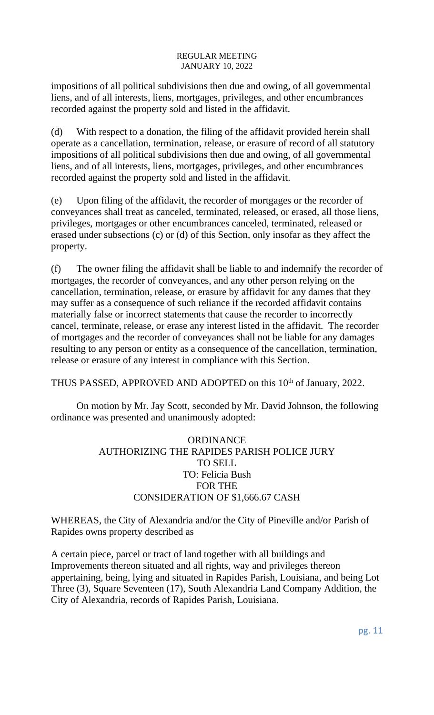impositions of all political subdivisions then due and owing, of all governmental liens, and of all interests, liens, mortgages, privileges, and other encumbrances recorded against the property sold and listed in the affidavit.

(d) With respect to a donation, the filing of the affidavit provided herein shall operate as a cancellation, termination, release, or erasure of record of all statutory impositions of all political subdivisions then due and owing, of all governmental liens, and of all interests, liens, mortgages, privileges, and other encumbrances recorded against the property sold and listed in the affidavit.

(e) Upon filing of the affidavit, the recorder of mortgages or the recorder of conveyances shall treat as canceled, terminated, released, or erased, all those liens, privileges, mortgages or other encumbrances canceled, terminated, released or erased under subsections (c) or (d) of this Section, only insofar as they affect the property.

(f) The owner filing the affidavit shall be liable to and indemnify the recorder of mortgages, the recorder of conveyances, and any other person relying on the cancellation, termination, release, or erasure by affidavit for any dames that they may suffer as a consequence of such reliance if the recorded affidavit contains materially false or incorrect statements that cause the recorder to incorrectly cancel, terminate, release, or erase any interest listed in the affidavit. The recorder of mortgages and the recorder of conveyances shall not be liable for any damages resulting to any person or entity as a consequence of the cancellation, termination, release or erasure of any interest in compliance with this Section.

THUS PASSED, APPROVED AND ADOPTED on this 10<sup>th</sup> of January, 2022.

On motion by Mr. Jay Scott, seconded by Mr. David Johnson, the following ordinance was presented and unanimously adopted:

# **ORDINANCE** AUTHORIZING THE RAPIDES PARISH POLICE JURY TO SELL TO: Felicia Bush FOR THE CONSIDERATION OF \$1,666.67 CASH

WHEREAS, the City of Alexandria and/or the City of Pineville and/or Parish of Rapides owns property described as

A certain piece, parcel or tract of land together with all buildings and Improvements thereon situated and all rights, way and privileges thereon appertaining, being, lying and situated in Rapides Parish, Louisiana, and being Lot Three (3), Square Seventeen (17), South Alexandria Land Company Addition, the City of Alexandria, records of Rapides Parish, Louisiana.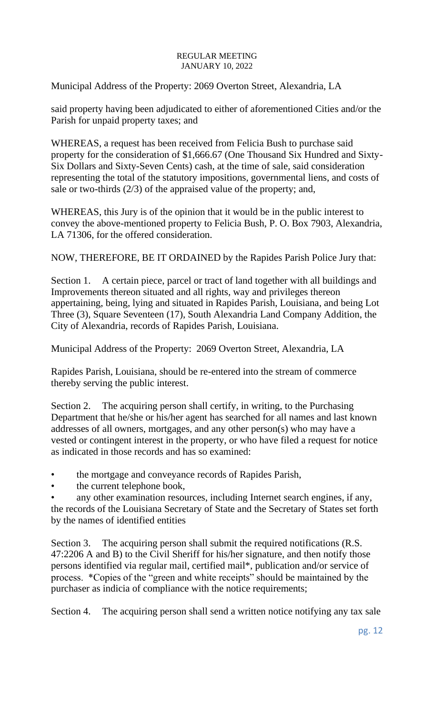Municipal Address of the Property: 2069 Overton Street, Alexandria, LA

said property having been adjudicated to either of aforementioned Cities and/or the Parish for unpaid property taxes; and

WHEREAS, a request has been received from Felicia Bush to purchase said property for the consideration of \$1,666.67 (One Thousand Six Hundred and Sixty-Six Dollars and Sixty-Seven Cents) cash, at the time of sale, said consideration representing the total of the statutory impositions, governmental liens, and costs of sale or two-thirds (2/3) of the appraised value of the property; and,

WHEREAS, this Jury is of the opinion that it would be in the public interest to convey the above-mentioned property to Felicia Bush, P. O. Box 7903, Alexandria, LA 71306, for the offered consideration.

NOW, THEREFORE, BE IT ORDAINED by the Rapides Parish Police Jury that:

Section 1. A certain piece, parcel or tract of land together with all buildings and Improvements thereon situated and all rights, way and privileges thereon appertaining, being, lying and situated in Rapides Parish, Louisiana, and being Lot Three (3), Square Seventeen (17), South Alexandria Land Company Addition, the City of Alexandria, records of Rapides Parish, Louisiana.

Municipal Address of the Property: 2069 Overton Street, Alexandria, LA

Rapides Parish, Louisiana, should be re-entered into the stream of commerce thereby serving the public interest.

Section 2. The acquiring person shall certify, in writing, to the Purchasing Department that he/she or his/her agent has searched for all names and last known addresses of all owners, mortgages, and any other person(s) who may have a vested or contingent interest in the property, or who have filed a request for notice as indicated in those records and has so examined:

• the mortgage and conveyance records of Rapides Parish,

the current telephone book,

any other examination resources, including Internet search engines, if any, the records of the Louisiana Secretary of State and the Secretary of States set forth by the names of identified entities

Section 3. The acquiring person shall submit the required notifications (R.S. 47:2206 A and B) to the Civil Sheriff for his/her signature, and then notify those persons identified via regular mail, certified mail\*, publication and/or service of process. \*Copies of the "green and white receipts" should be maintained by the purchaser as indicia of compliance with the notice requirements;

Section 4. The acquiring person shall send a written notice notifying any tax sale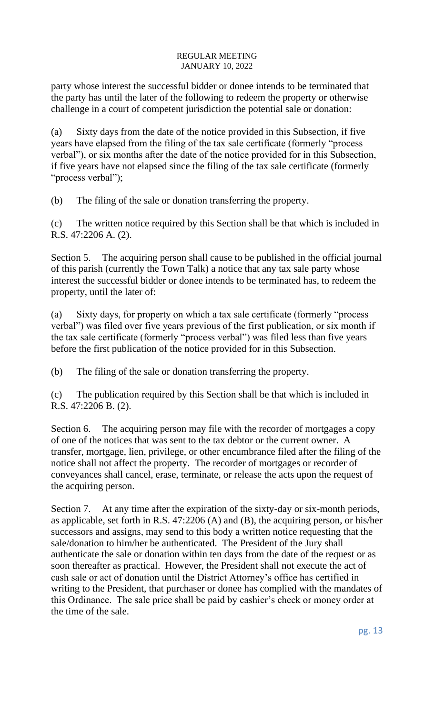party whose interest the successful bidder or donee intends to be terminated that the party has until the later of the following to redeem the property or otherwise challenge in a court of competent jurisdiction the potential sale or donation:

(a) Sixty days from the date of the notice provided in this Subsection, if five years have elapsed from the filing of the tax sale certificate (formerly "process verbal"), or six months after the date of the notice provided for in this Subsection, if five years have not elapsed since the filing of the tax sale certificate (formerly "process verbal");

(b) The filing of the sale or donation transferring the property.

(c) The written notice required by this Section shall be that which is included in R.S. 47:2206 A. (2).

Section 5. The acquiring person shall cause to be published in the official journal of this parish (currently the Town Talk) a notice that any tax sale party whose interest the successful bidder or donee intends to be terminated has, to redeem the property, until the later of:

(a) Sixty days, for property on which a tax sale certificate (formerly "process verbal") was filed over five years previous of the first publication, or six month if the tax sale certificate (formerly "process verbal") was filed less than five years before the first publication of the notice provided for in this Subsection.

(b) The filing of the sale or donation transferring the property.

(c) The publication required by this Section shall be that which is included in R.S. 47:2206 B. (2).

Section 6. The acquiring person may file with the recorder of mortgages a copy of one of the notices that was sent to the tax debtor or the current owner. A transfer, mortgage, lien, privilege, or other encumbrance filed after the filing of the notice shall not affect the property. The recorder of mortgages or recorder of conveyances shall cancel, erase, terminate, or release the acts upon the request of the acquiring person.

Section 7. At any time after the expiration of the sixty-day or six-month periods, as applicable, set forth in R.S. 47:2206 (A) and (B), the acquiring person, or his/her successors and assigns, may send to this body a written notice requesting that the sale/donation to him/her be authenticated. The President of the Jury shall authenticate the sale or donation within ten days from the date of the request or as soon thereafter as practical. However, the President shall not execute the act of cash sale or act of donation until the District Attorney's office has certified in writing to the President, that purchaser or donee has complied with the mandates of this Ordinance. The sale price shall be paid by cashier's check or money order at the time of the sale.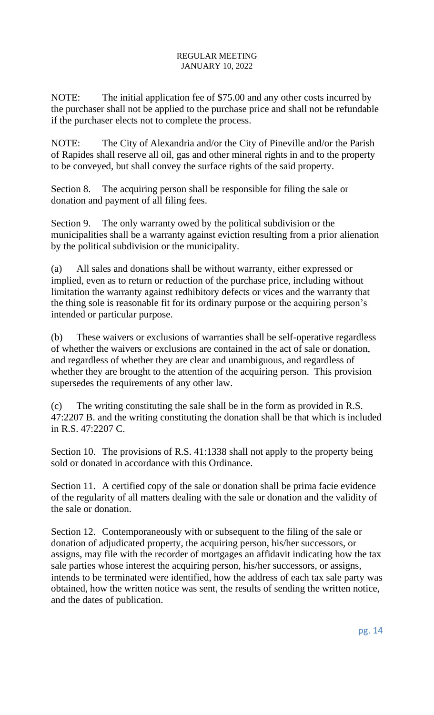NOTE: The initial application fee of \$75.00 and any other costs incurred by the purchaser shall not be applied to the purchase price and shall not be refundable if the purchaser elects not to complete the process.

NOTE: The City of Alexandria and/or the City of Pineville and/or the Parish of Rapides shall reserve all oil, gas and other mineral rights in and to the property to be conveyed, but shall convey the surface rights of the said property.

Section 8. The acquiring person shall be responsible for filing the sale or donation and payment of all filing fees.

Section 9. The only warranty owed by the political subdivision or the municipalities shall be a warranty against eviction resulting from a prior alienation by the political subdivision or the municipality.

(a) All sales and donations shall be without warranty, either expressed or implied, even as to return or reduction of the purchase price, including without limitation the warranty against redhibitory defects or vices and the warranty that the thing sole is reasonable fit for its ordinary purpose or the acquiring person's intended or particular purpose.

(b) These waivers or exclusions of warranties shall be self-operative regardless of whether the waivers or exclusions are contained in the act of sale or donation, and regardless of whether they are clear and unambiguous, and regardless of whether they are brought to the attention of the acquiring person. This provision supersedes the requirements of any other law.

(c) The writing constituting the sale shall be in the form as provided in R.S. 47:2207 B. and the writing constituting the donation shall be that which is included in R.S. 47:2207 C.

Section 10. The provisions of R.S. 41:1338 shall not apply to the property being sold or donated in accordance with this Ordinance.

Section 11. A certified copy of the sale or donation shall be prima facie evidence of the regularity of all matters dealing with the sale or donation and the validity of the sale or donation.

Section 12. Contemporaneously with or subsequent to the filing of the sale or donation of adjudicated property, the acquiring person, his/her successors, or assigns, may file with the recorder of mortgages an affidavit indicating how the tax sale parties whose interest the acquiring person, his/her successors, or assigns, intends to be terminated were identified, how the address of each tax sale party was obtained, how the written notice was sent, the results of sending the written notice, and the dates of publication.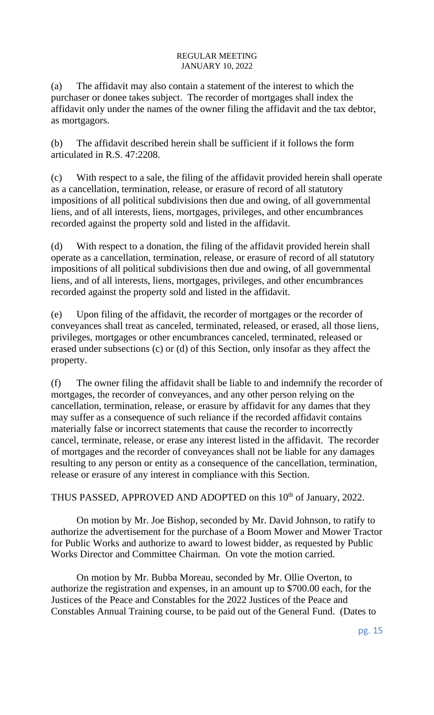(a) The affidavit may also contain a statement of the interest to which the purchaser or donee takes subject. The recorder of mortgages shall index the affidavit only under the names of the owner filing the affidavit and the tax debtor, as mortgagors.

(b) The affidavit described herein shall be sufficient if it follows the form articulated in R.S. 47:2208.

(c) With respect to a sale, the filing of the affidavit provided herein shall operate as a cancellation, termination, release, or erasure of record of all statutory impositions of all political subdivisions then due and owing, of all governmental liens, and of all interests, liens, mortgages, privileges, and other encumbrances recorded against the property sold and listed in the affidavit.

(d) With respect to a donation, the filing of the affidavit provided herein shall operate as a cancellation, termination, release, or erasure of record of all statutory impositions of all political subdivisions then due and owing, of all governmental liens, and of all interests, liens, mortgages, privileges, and other encumbrances recorded against the property sold and listed in the affidavit.

(e) Upon filing of the affidavit, the recorder of mortgages or the recorder of conveyances shall treat as canceled, terminated, released, or erased, all those liens, privileges, mortgages or other encumbrances canceled, terminated, released or erased under subsections (c) or (d) of this Section, only insofar as they affect the property.

(f) The owner filing the affidavit shall be liable to and indemnify the recorder of mortgages, the recorder of conveyances, and any other person relying on the cancellation, termination, release, or erasure by affidavit for any dames that they may suffer as a consequence of such reliance if the recorded affidavit contains materially false or incorrect statements that cause the recorder to incorrectly cancel, terminate, release, or erase any interest listed in the affidavit. The recorder of mortgages and the recorder of conveyances shall not be liable for any damages resulting to any person or entity as a consequence of the cancellation, termination, release or erasure of any interest in compliance with this Section.

THUS PASSED, APPROVED AND ADOPTED on this 10<sup>th</sup> of January, 2022.

On motion by Mr. Joe Bishop, seconded by Mr. David Johnson, to ratify to authorize the advertisement for the purchase of a Boom Mower and Mower Tractor for Public Works and authorize to award to lowest bidder, as requested by Public Works Director and Committee Chairman. On vote the motion carried.

On motion by Mr. Bubba Moreau, seconded by Mr. Ollie Overton, to authorize the registration and expenses, in an amount up to \$700.00 each, for the Justices of the Peace and Constables for the 2022 Justices of the Peace and Constables Annual Training course, to be paid out of the General Fund. (Dates to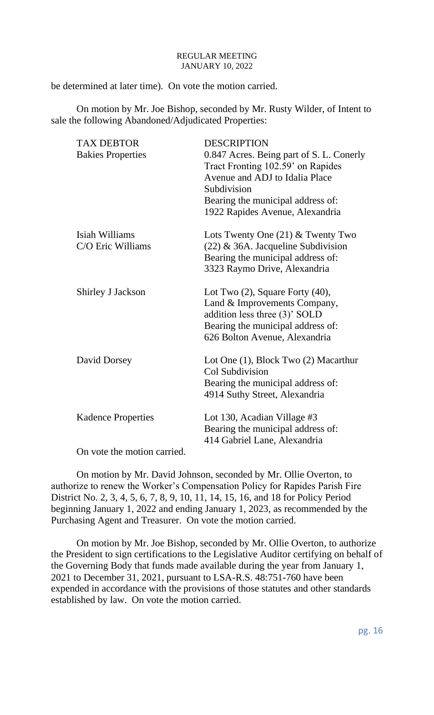be determined at later time). On vote the motion carried.

On motion by Mr. Joe Bishop, seconded by Mr. Rusty Wilder, of Intent to sale the following Abandoned/Adjudicated Properties:

| <b>TAX DEBTOR</b><br><b>Bakies Properties</b>                                               | <b>DESCRIPTION</b><br>0.847 Acres. Being part of S. L. Conerly<br>Tract Fronting 102.59' on Rapides<br>Avenue and ADJ to Idalia Place<br>Subdivision<br>Bearing the municipal address of:<br>1922 Rapides Avenue, Alexandria |
|---------------------------------------------------------------------------------------------|------------------------------------------------------------------------------------------------------------------------------------------------------------------------------------------------------------------------------|
| Isiah Williams<br>C/O Eric Williams                                                         | Lots Twenty One $(21)$ & Twenty Two<br>$(22)$ & 36A. Jacqueline Subdivision<br>Bearing the municipal address of:<br>3323 Raymo Drive, Alexandria                                                                             |
| <b>Shirley J Jackson</b>                                                                    | Lot Two $(2)$ , Square Forty $(40)$ ,<br>Land & Improvements Company,<br>addition less three (3)' SOLD<br>Bearing the municipal address of:<br>626 Bolton Avenue, Alexandria                                                 |
| David Dorsey                                                                                | Lot One (1), Block Two (2) Macarthur<br>Col Subdivision<br>Bearing the municipal address of:<br>4914 Suthy Street, Alexandria                                                                                                |
| <b>Kadence Properties</b><br>$\Omega$ <sub>n</sub> $\Omega$ <sub>2</sub> the flag motion of | Lot 130, Acadian Village #3<br>Bearing the municipal address of:<br>414 Gabriel Lane, Alexandria                                                                                                                             |
|                                                                                             |                                                                                                                                                                                                                              |

On vote the motion carried.

On motion by Mr. David Johnson, seconded by Mr. Ollie Overton, to authorize to renew the Worker's Compensation Policy for Rapides Parish Fire District No. 2, 3, 4, 5, 6, 7, 8, 9, 10, 11, 14, 15, 16, and 18 for Policy Period beginning January 1, 2022 and ending January 1, 2023, as recommended by the Purchasing Agent and Treasurer. On vote the motion carried.

On motion by Mr. Joe Bishop, seconded by Mr. Ollie Overton, to authorize the President to sign certifications to the Legislative Auditor certifying on behalf of the Governing Body that funds made available during the year from January 1, 2021 to December 31, 2021, pursuant to LSA-R.S. 48:751-760 have been expended in accordance with the provisions of those statutes and other standards established by law. On vote the motion carried.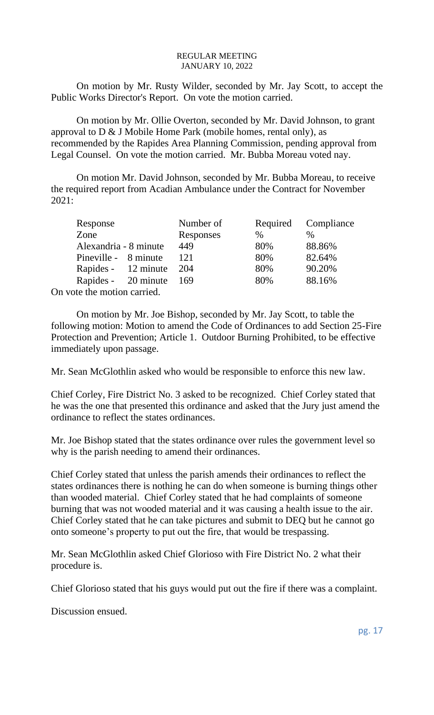On motion by Mr. Rusty Wilder, seconded by Mr. Jay Scott, to accept the Public Works Director's Report. On vote the motion carried.

On motion by Mr. Ollie Overton, seconded by Mr. David Johnson, to grant approval to  $D \& J$  Mobile Home Park (mobile homes, rental only), as recommended by the Rapides Area Planning Commission, pending approval from Legal Counsel. On vote the motion carried. Mr. Bubba Moreau voted nay.

On motion Mr. David Johnson, seconded by Mr. Bubba Moreau, to receive the required report from Acadian Ambulance under the Contract for November 2021:

| Response                    | Number of |      | Required Compliance |
|-----------------------------|-----------|------|---------------------|
| Zone                        | Responses | $\%$ | $\%$                |
| Alexandria - 8 minute       | 449       | 80%  | 88.86%              |
| Pineville - 8 minute        | 121       | 80%  | 82.64%              |
| Rapides - 12 minute         | 204       | 80%  | 90.20%              |
| Rapides - 20 minute         | - 169     | 80%  | 88.16%              |
| On vote the motion carried. |           |      |                     |

On motion by Mr. Joe Bishop, seconded by Mr. Jay Scott, to table the following motion: Motion to amend the Code of Ordinances to add Section 25-Fire Protection and Prevention; Article 1. Outdoor Burning Prohibited, to be effective immediately upon passage.

Mr. Sean McGlothlin asked who would be responsible to enforce this new law.

Chief Corley, Fire District No. 3 asked to be recognized. Chief Corley stated that he was the one that presented this ordinance and asked that the Jury just amend the ordinance to reflect the states ordinances.

Mr. Joe Bishop stated that the states ordinance over rules the government level so why is the parish needing to amend their ordinances.

Chief Corley stated that unless the parish amends their ordinances to reflect the states ordinances there is nothing he can do when someone is burning things other than wooded material. Chief Corley stated that he had complaints of someone burning that was not wooded material and it was causing a health issue to the air. Chief Corley stated that he can take pictures and submit to DEQ but he cannot go onto someone's property to put out the fire, that would be trespassing.

Mr. Sean McGlothlin asked Chief Glorioso with Fire District No. 2 what their procedure is.

Chief Glorioso stated that his guys would put out the fire if there was a complaint.

Discussion ensued.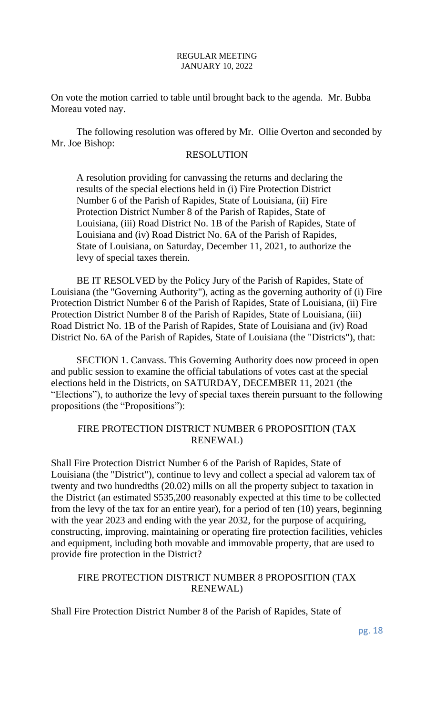On vote the motion carried to table until brought back to the agenda. Mr. Bubba Moreau voted nay.

The following resolution was offered by Mr. Ollie Overton and seconded by Mr. Joe Bishop:

### RESOLUTION

A resolution providing for canvassing the returns and declaring the results of the special elections held in (i) Fire Protection District Number 6 of the Parish of Rapides, State of Louisiana, (ii) Fire Protection District Number 8 of the Parish of Rapides, State of Louisiana, (iii) Road District No. 1B of the Parish of Rapides, State of Louisiana and (iv) Road District No. 6A of the Parish of Rapides, State of Louisiana, on Saturday, December 11, 2021, to authorize the levy of special taxes therein.

BE IT RESOLVED by the Policy Jury of the Parish of Rapides, State of Louisiana (the "Governing Authority"), acting as the governing authority of (i) Fire Protection District Number 6 of the Parish of Rapides, State of Louisiana, (ii) Fire Protection District Number 8 of the Parish of Rapides, State of Louisiana, (iii) Road District No. 1B of the Parish of Rapides, State of Louisiana and (iv) Road District No. 6A of the Parish of Rapides, State of Louisiana (the "Districts"), that:

SECTION 1. Canvass. This Governing Authority does now proceed in open and public session to examine the official tabulations of votes cast at the special elections held in the Districts, on SATURDAY, DECEMBER 11, 2021 (the "Elections"), to authorize the levy of special taxes therein pursuant to the following propositions (the "Propositions"):

### FIRE PROTECTION DISTRICT NUMBER 6 PROPOSITION (TAX RENEWAL)

Shall Fire Protection District Number 6 of the Parish of Rapides, State of Louisiana (the "District"), continue to levy and collect a special ad valorem tax of twenty and two hundredths (20.02) mills on all the property subject to taxation in the District (an estimated \$535,200 reasonably expected at this time to be collected from the levy of the tax for an entire year), for a period of ten (10) years, beginning with the year 2023 and ending with the year 2032, for the purpose of acquiring, constructing, improving, maintaining or operating fire protection facilities, vehicles and equipment, including both movable and immovable property, that are used to provide fire protection in the District?

### FIRE PROTECTION DISTRICT NUMBER 8 PROPOSITION (TAX RENEWAL)

Shall Fire Protection District Number 8 of the Parish of Rapides, State of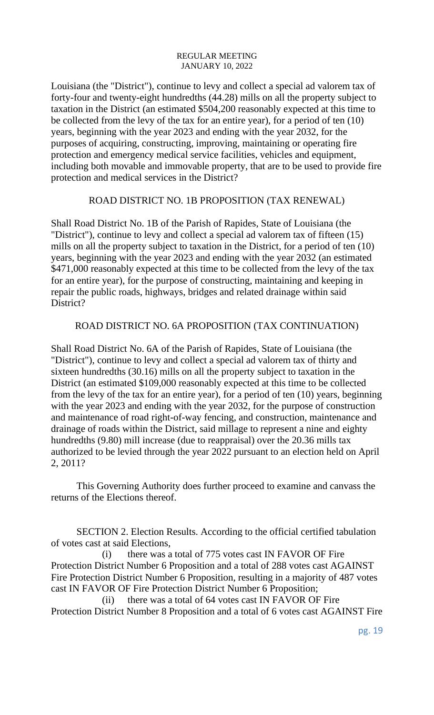Louisiana (the "District"), continue to levy and collect a special ad valorem tax of forty-four and twenty-eight hundredths (44.28) mills on all the property subject to taxation in the District (an estimated \$504,200 reasonably expected at this time to be collected from the levy of the tax for an entire year), for a period of ten (10) years, beginning with the year 2023 and ending with the year 2032, for the purposes of acquiring, constructing, improving, maintaining or operating fire protection and emergency medical service facilities, vehicles and equipment, including both movable and immovable property, that are to be used to provide fire protection and medical services in the District?

### ROAD DISTRICT NO. 1B PROPOSITION (TAX RENEWAL)

Shall Road District No. 1B of the Parish of Rapides, State of Louisiana (the "District"), continue to levy and collect a special ad valorem tax of fifteen (15) mills on all the property subject to taxation in the District, for a period of ten (10) years, beginning with the year 2023 and ending with the year 2032 (an estimated \$471,000 reasonably expected at this time to be collected from the levy of the tax for an entire year), for the purpose of constructing, maintaining and keeping in repair the public roads, highways, bridges and related drainage within said District?

### ROAD DISTRICT NO. 6A PROPOSITION (TAX CONTINUATION)

Shall Road District No. 6A of the Parish of Rapides, State of Louisiana (the "District"), continue to levy and collect a special ad valorem tax of thirty and sixteen hundredths (30.16) mills on all the property subject to taxation in the District (an estimated \$109,000 reasonably expected at this time to be collected from the levy of the tax for an entire year), for a period of ten (10) years, beginning with the year 2023 and ending with the year 2032, for the purpose of construction and maintenance of road right-of-way fencing, and construction, maintenance and drainage of roads within the District, said millage to represent a nine and eighty hundredths (9.80) mill increase (due to reappraisal) over the 20.36 mills tax authorized to be levied through the year 2022 pursuant to an election held on April 2, 2011?

This Governing Authority does further proceed to examine and canvass the returns of the Elections thereof.

SECTION 2. Election Results. According to the official certified tabulation of votes cast at said Elections,

(i) there was a total of 775 votes cast IN FAVOR OF Fire Protection District Number 6 Proposition and a total of 288 votes cast AGAINST Fire Protection District Number 6 Proposition, resulting in a majority of 487 votes cast IN FAVOR OF Fire Protection District Number 6 Proposition;

(ii) there was a total of 64 votes cast IN FAVOR OF Fire Protection District Number 8 Proposition and a total of 6 votes cast AGAINST Fire

pg. 19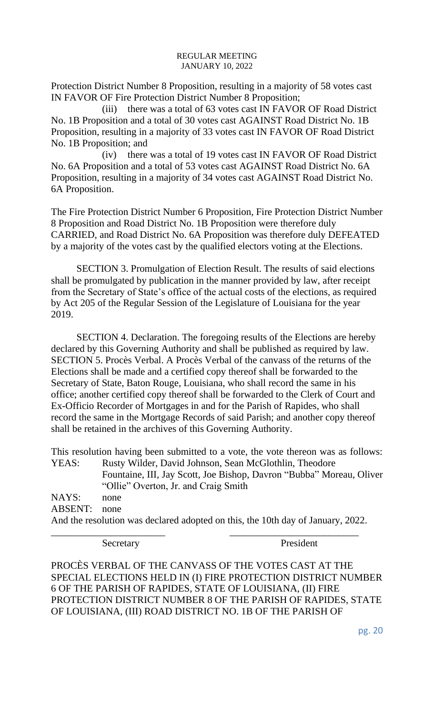Protection District Number 8 Proposition, resulting in a majority of 58 votes cast IN FAVOR OF Fire Protection District Number 8 Proposition;

(iii) there was a total of 63 votes cast IN FAVOR OF Road District No. 1B Proposition and a total of 30 votes cast AGAINST Road District No. 1B Proposition, resulting in a majority of 33 votes cast IN FAVOR OF Road District No. 1B Proposition; and

(iv) there was a total of 19 votes cast IN FAVOR OF Road District No. 6A Proposition and a total of 53 votes cast AGAINST Road District No. 6A Proposition, resulting in a majority of 34 votes cast AGAINST Road District No. 6A Proposition.

The Fire Protection District Number 6 Proposition, Fire Protection District Number 8 Proposition and Road District No. 1B Proposition were therefore duly CARRIED, and Road District No. 6A Proposition was therefore duly DEFEATED by a majority of the votes cast by the qualified electors voting at the Elections.

SECTION 3. Promulgation of Election Result. The results of said elections shall be promulgated by publication in the manner provided by law, after receipt from the Secretary of State's office of the actual costs of the elections, as required by Act 205 of the Regular Session of the Legislature of Louisiana for the year 2019.

SECTION 4. Declaration. The foregoing results of the Elections are hereby declared by this Governing Authority and shall be published as required by law. SECTION 5. Procès Verbal. A Procès Verbal of the canvass of the returns of the Elections shall be made and a certified copy thereof shall be forwarded to the Secretary of State, Baton Rouge, Louisiana, who shall record the same in his office; another certified copy thereof shall be forwarded to the Clerk of Court and Ex-Officio Recorder of Mortgages in and for the Parish of Rapides, who shall record the same in the Mortgage Records of said Parish; and another copy thereof shall be retained in the archives of this Governing Authority.

This resolution having been submitted to a vote, the vote thereon was as follows: YEAS: Rusty Wilder, David Johnson, Sean McGlothlin, Theodore Fountaine, III, Jay Scott, Joe Bishop, Davron "Bubba" Moreau, Oliver "Ollie" Overton, Jr. and Craig Smith NAYS: none

ABSENT: none And the resolution was declared adopted on this, the 10th day of January, 2022. \_\_\_\_\_\_\_\_\_\_\_\_\_\_\_\_\_\_\_\_\_\_\_ \_\_\_\_\_\_\_\_\_\_\_\_\_\_\_\_\_\_\_\_\_\_\_\_\_\_

Secretary President

PROCÈS VERBAL OF THE CANVASS OF THE VOTES CAST AT THE SPECIAL ELECTIONS HELD IN (I) FIRE PROTECTION DISTRICT NUMBER 6 OF THE PARISH OF RAPIDES, STATE OF LOUISIANA, (II) FIRE PROTECTION DISTRICT NUMBER 8 OF THE PARISH OF RAPIDES, STATE OF LOUISIANA, (III) ROAD DISTRICT NO. 1B OF THE PARISH OF

pg. 20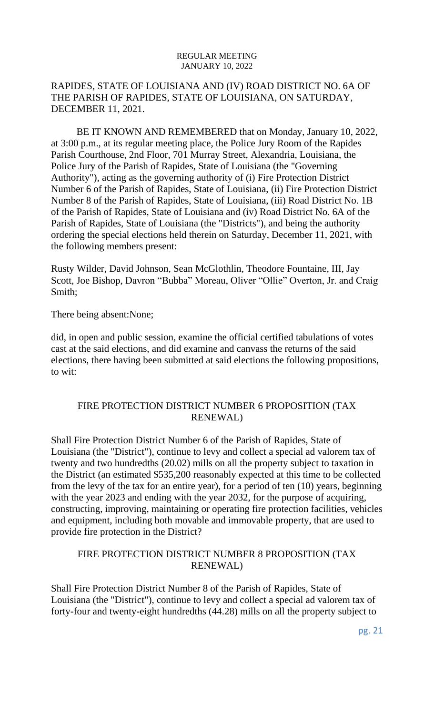# RAPIDES, STATE OF LOUISIANA AND (IV) ROAD DISTRICT NO. 6A OF THE PARISH OF RAPIDES, STATE OF LOUISIANA, ON SATURDAY, DECEMBER 11, 2021.

BE IT KNOWN AND REMEMBERED that on Monday, January 10, 2022, at 3:00 p.m., at its regular meeting place, the Police Jury Room of the Rapides Parish Courthouse, 2nd Floor, 701 Murray Street, Alexandria, Louisiana, the Police Jury of the Parish of Rapides, State of Louisiana (the "Governing Authority"), acting as the governing authority of (i) Fire Protection District Number 6 of the Parish of Rapides, State of Louisiana, (ii) Fire Protection District Number 8 of the Parish of Rapides, State of Louisiana, (iii) Road District No. 1B of the Parish of Rapides, State of Louisiana and (iv) Road District No. 6A of the Parish of Rapides, State of Louisiana (the "Districts"), and being the authority ordering the special elections held therein on Saturday, December 11, 2021, with the following members present:

Rusty Wilder, David Johnson, Sean McGlothlin, Theodore Fountaine, III, Jay Scott, Joe Bishop, Davron "Bubba" Moreau, Oliver "Ollie" Overton, Jr. and Craig Smith;

There being absent:None;

did, in open and public session, examine the official certified tabulations of votes cast at the said elections, and did examine and canvass the returns of the said elections, there having been submitted at said elections the following propositions, to wit:

# FIRE PROTECTION DISTRICT NUMBER 6 PROPOSITION (TAX RENEWAL)

Shall Fire Protection District Number 6 of the Parish of Rapides, State of Louisiana (the "District"), continue to levy and collect a special ad valorem tax of twenty and two hundredths (20.02) mills on all the property subject to taxation in the District (an estimated \$535,200 reasonably expected at this time to be collected from the levy of the tax for an entire year), for a period of ten (10) years, beginning with the year 2023 and ending with the year 2032, for the purpose of acquiring, constructing, improving, maintaining or operating fire protection facilities, vehicles and equipment, including both movable and immovable property, that are used to provide fire protection in the District?

# FIRE PROTECTION DISTRICT NUMBER 8 PROPOSITION (TAX RENEWAL)

Shall Fire Protection District Number 8 of the Parish of Rapides, State of Louisiana (the "District"), continue to levy and collect a special ad valorem tax of forty-four and twenty-eight hundredths (44.28) mills on all the property subject to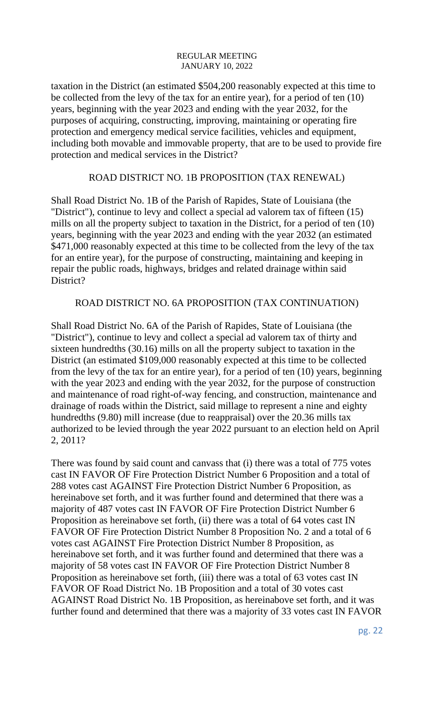taxation in the District (an estimated \$504,200 reasonably expected at this time to be collected from the levy of the tax for an entire year), for a period of ten (10) years, beginning with the year 2023 and ending with the year 2032, for the purposes of acquiring, constructing, improving, maintaining or operating fire protection and emergency medical service facilities, vehicles and equipment, including both movable and immovable property, that are to be used to provide fire protection and medical services in the District?

### ROAD DISTRICT NO. 1B PROPOSITION (TAX RENEWAL)

Shall Road District No. 1B of the Parish of Rapides, State of Louisiana (the "District"), continue to levy and collect a special ad valorem tax of fifteen (15) mills on all the property subject to taxation in the District, for a period of ten (10) years, beginning with the year 2023 and ending with the year 2032 (an estimated \$471,000 reasonably expected at this time to be collected from the levy of the tax for an entire year), for the purpose of constructing, maintaining and keeping in repair the public roads, highways, bridges and related drainage within said District?

### ROAD DISTRICT NO. 6A PROPOSITION (TAX CONTINUATION)

Shall Road District No. 6A of the Parish of Rapides, State of Louisiana (the "District"), continue to levy and collect a special ad valorem tax of thirty and sixteen hundredths (30.16) mills on all the property subject to taxation in the District (an estimated \$109,000 reasonably expected at this time to be collected from the levy of the tax for an entire year), for a period of ten (10) years, beginning with the year 2023 and ending with the year 2032, for the purpose of construction and maintenance of road right-of-way fencing, and construction, maintenance and drainage of roads within the District, said millage to represent a nine and eighty hundredths (9.80) mill increase (due to reappraisal) over the 20.36 mills tax authorized to be levied through the year 2022 pursuant to an election held on April 2, 2011?

There was found by said count and canvass that (i) there was a total of 775 votes cast IN FAVOR OF Fire Protection District Number 6 Proposition and a total of 288 votes cast AGAINST Fire Protection District Number 6 Proposition, as hereinabove set forth, and it was further found and determined that there was a majority of 487 votes cast IN FAVOR OF Fire Protection District Number 6 Proposition as hereinabove set forth, (ii) there was a total of 64 votes cast IN FAVOR OF Fire Protection District Number 8 Proposition No. 2 and a total of 6 votes cast AGAINST Fire Protection District Number 8 Proposition, as hereinabove set forth, and it was further found and determined that there was a majority of 58 votes cast IN FAVOR OF Fire Protection District Number 8 Proposition as hereinabove set forth, (iii) there was a total of 63 votes cast IN FAVOR OF Road District No. 1B Proposition and a total of 30 votes cast AGAINST Road District No. 1B Proposition, as hereinabove set forth, and it was further found and determined that there was a majority of 33 votes cast IN FAVOR

pg. 22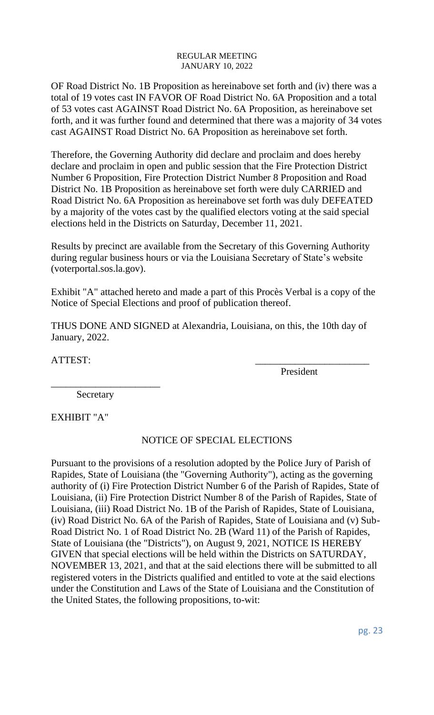OF Road District No. 1B Proposition as hereinabove set forth and (iv) there was a total of 19 votes cast IN FAVOR OF Road District No. 6A Proposition and a total of 53 votes cast AGAINST Road District No. 6A Proposition, as hereinabove set forth, and it was further found and determined that there was a majority of 34 votes cast AGAINST Road District No. 6A Proposition as hereinabove set forth.

Therefore, the Governing Authority did declare and proclaim and does hereby declare and proclaim in open and public session that the Fire Protection District Number 6 Proposition, Fire Protection District Number 8 Proposition and Road District No. 1B Proposition as hereinabove set forth were duly CARRIED and Road District No. 6A Proposition as hereinabove set forth was duly DEFEATED by a majority of the votes cast by the qualified electors voting at the said special elections held in the Districts on Saturday, December 11, 2021.

Results by precinct are available from the Secretary of this Governing Authority during regular business hours or via the Louisiana Secretary of State's website (voterportal.sos.la.gov).

Exhibit "A" attached hereto and made a part of this Procès Verbal is a copy of the Notice of Special Elections and proof of publication thereof.

THUS DONE AND SIGNED at Alexandria, Louisiana, on this, the 10th day of January, 2022.

ATTEST:

President

**Secretary** 

\_\_\_\_\_\_\_\_\_\_\_\_\_\_\_\_\_\_\_\_\_\_

EXHIBIT "A"

# NOTICE OF SPECIAL ELECTIONS

Pursuant to the provisions of a resolution adopted by the Police Jury of Parish of Rapides, State of Louisiana (the "Governing Authority"), acting as the governing authority of (i) Fire Protection District Number 6 of the Parish of Rapides, State of Louisiana, (ii) Fire Protection District Number 8 of the Parish of Rapides, State of Louisiana, (iii) Road District No. 1B of the Parish of Rapides, State of Louisiana, (iv) Road District No. 6A of the Parish of Rapides, State of Louisiana and (v) Sub-Road District No. 1 of Road District No. 2B (Ward 11) of the Parish of Rapides, State of Louisiana (the "Districts"), on August 9, 2021, NOTICE IS HEREBY GIVEN that special elections will be held within the Districts on SATURDAY, NOVEMBER 13, 2021, and that at the said elections there will be submitted to all registered voters in the Districts qualified and entitled to vote at the said elections under the Constitution and Laws of the State of Louisiana and the Constitution of the United States, the following propositions, to-wit: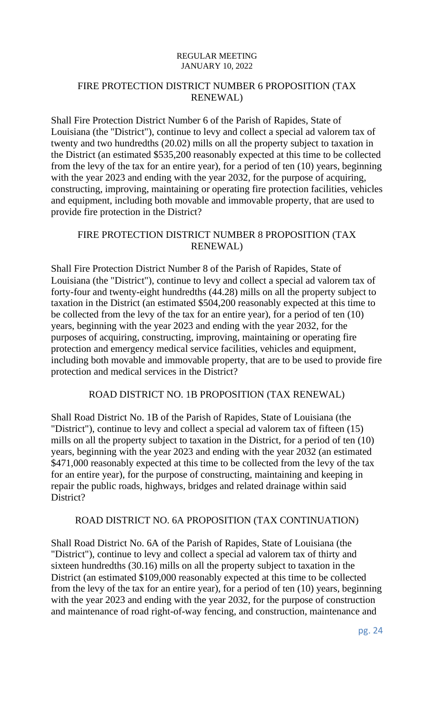# FIRE PROTECTION DISTRICT NUMBER 6 PROPOSITION (TAX RENEWAL)

Shall Fire Protection District Number 6 of the Parish of Rapides, State of Louisiana (the "District"), continue to levy and collect a special ad valorem tax of twenty and two hundredths (20.02) mills on all the property subject to taxation in the District (an estimated \$535,200 reasonably expected at this time to be collected from the levy of the tax for an entire year), for a period of ten (10) years, beginning with the year 2023 and ending with the year 2032, for the purpose of acquiring, constructing, improving, maintaining or operating fire protection facilities, vehicles and equipment, including both movable and immovable property, that are used to provide fire protection in the District?

# FIRE PROTECTION DISTRICT NUMBER 8 PROPOSITION (TAX RENEWAL)

Shall Fire Protection District Number 8 of the Parish of Rapides, State of Louisiana (the "District"), continue to levy and collect a special ad valorem tax of forty-four and twenty-eight hundredths (44.28) mills on all the property subject to taxation in the District (an estimated \$504,200 reasonably expected at this time to be collected from the levy of the tax for an entire year), for a period of ten (10) years, beginning with the year 2023 and ending with the year 2032, for the purposes of acquiring, constructing, improving, maintaining or operating fire protection and emergency medical service facilities, vehicles and equipment, including both movable and immovable property, that are to be used to provide fire protection and medical services in the District?

# ROAD DISTRICT NO. 1B PROPOSITION (TAX RENEWAL)

Shall Road District No. 1B of the Parish of Rapides, State of Louisiana (the "District"), continue to levy and collect a special ad valorem tax of fifteen (15) mills on all the property subject to taxation in the District, for a period of ten (10) years, beginning with the year 2023 and ending with the year 2032 (an estimated \$471,000 reasonably expected at this time to be collected from the levy of the tax for an entire year), for the purpose of constructing, maintaining and keeping in repair the public roads, highways, bridges and related drainage within said District?

# ROAD DISTRICT NO. 6A PROPOSITION (TAX CONTINUATION)

Shall Road District No. 6A of the Parish of Rapides, State of Louisiana (the "District"), continue to levy and collect a special ad valorem tax of thirty and sixteen hundredths (30.16) mills on all the property subject to taxation in the District (an estimated \$109,000 reasonably expected at this time to be collected from the levy of the tax for an entire year), for a period of ten (10) years, beginning with the year 2023 and ending with the year 2032, for the purpose of construction and maintenance of road right-of-way fencing, and construction, maintenance and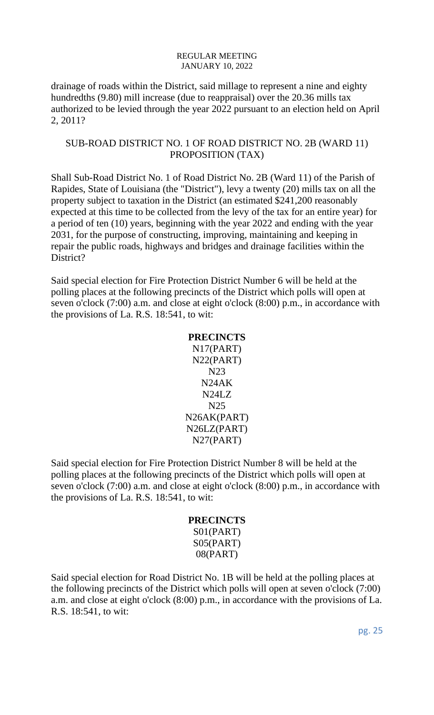drainage of roads within the District, said millage to represent a nine and eighty hundredths (9.80) mill increase (due to reappraisal) over the 20.36 mills tax authorized to be levied through the year 2022 pursuant to an election held on April 2, 2011?

### SUB-ROAD DISTRICT NO. 1 OF ROAD DISTRICT NO. 2B (WARD 11) PROPOSITION (TAX)

Shall Sub-Road District No. 1 of Road District No. 2B (Ward 11) of the Parish of Rapides, State of Louisiana (the "District"), levy a twenty (20) mills tax on all the property subject to taxation in the District (an estimated \$241,200 reasonably expected at this time to be collected from the levy of the tax for an entire year) for a period of ten (10) years, beginning with the year 2022 and ending with the year 2031, for the purpose of constructing, improving, maintaining and keeping in repair the public roads, highways and bridges and drainage facilities within the District?

Said special election for Fire Protection District Number 6 will be held at the polling places at the following precincts of the District which polls will open at seven o'clock (7:00) a.m. and close at eight o'clock (8:00) p.m., in accordance with the provisions of La. R.S. 18:541, to wit:

### **PRECINCTS**

N17(PART) N22(PART) N23 N24AK N24LZ N25 N26AK(PART) N26LZ(PART) N27(PART)

Said special election for Fire Protection District Number 8 will be held at the polling places at the following precincts of the District which polls will open at seven o'clock (7:00) a.m. and close at eight o'clock (8:00) p.m., in accordance with the provisions of La. R.S. 18:541, to wit:

### **PRECINCTS**  S01(PART) S05(PART) 08(PART)

Said special election for Road District No. 1B will be held at the polling places at the following precincts of the District which polls will open at seven o'clock (7:00) a.m. and close at eight o'clock (8:00) p.m., in accordance with the provisions of La. R.S. 18:541, to wit: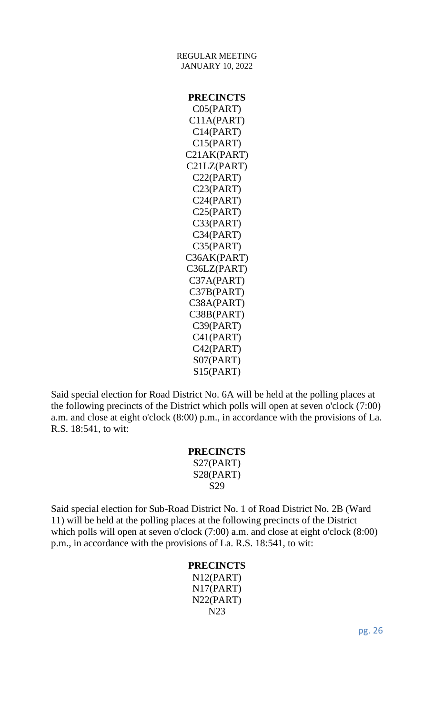JANUARY 10, 2022 **PRECINCTS** C05(PART) C11A(PART) C14(PART) C15(PART) C21AK(PART) C21LZ(PART) C22(PART) C23(PART) C24(PART) C25(PART) C33(PART) C34(PART) C35(PART) C36AK(PART) C36LZ(PART) C37A(PART) C37B(PART) C38A(PART) C38B(PART) C39(PART) C41(PART) C42(PART) S07(PART) S15(PART)

REGULAR MEETING

Said special election for Road District No. 6A will be held at the polling places at the following precincts of the District which polls will open at seven o'clock (7:00) a.m. and close at eight o'clock (8:00) p.m., in accordance with the provisions of La. R.S. 18:541, to wit:

# **PRECINCTS**

S27(PART) S28(PART) S29

Said special election for Sub-Road District No. 1 of Road District No. 2B (Ward 11) will be held at the polling places at the following precincts of the District which polls will open at seven o'clock (7:00) a.m. and close at eight o'clock (8:00) p.m., in accordance with the provisions of La. R.S. 18:541, to wit:

# **PRECINCTS**

N12(PART) N17(PART) N22(PART) N23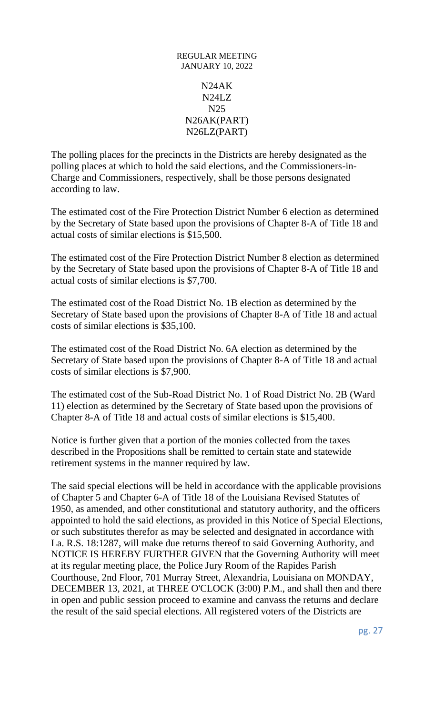# REGULAR MEETING JANUARY 10, 2022 N24AK N24LZ N25 N26AK(PART) N26LZ(PART)

The polling places for the precincts in the Districts are hereby designated as the polling places at which to hold the said elections, and the Commissioners-in-Charge and Commissioners, respectively, shall be those persons designated according to law.

The estimated cost of the Fire Protection District Number 6 election as determined by the Secretary of State based upon the provisions of Chapter 8-A of Title 18 and actual costs of similar elections is \$15,500.

The estimated cost of the Fire Protection District Number 8 election as determined by the Secretary of State based upon the provisions of Chapter 8-A of Title 18 and actual costs of similar elections is \$7,700.

The estimated cost of the Road District No. 1B election as determined by the Secretary of State based upon the provisions of Chapter 8-A of Title 18 and actual costs of similar elections is \$35,100.

The estimated cost of the Road District No. 6A election as determined by the Secretary of State based upon the provisions of Chapter 8-A of Title 18 and actual costs of similar elections is \$7,900.

The estimated cost of the Sub-Road District No. 1 of Road District No. 2B (Ward 11) election as determined by the Secretary of State based upon the provisions of Chapter 8-A of Title 18 and actual costs of similar elections is \$15,400.

Notice is further given that a portion of the monies collected from the taxes described in the Propositions shall be remitted to certain state and statewide retirement systems in the manner required by law.

The said special elections will be held in accordance with the applicable provisions of Chapter 5 and Chapter 6-A of Title 18 of the Louisiana Revised Statutes of 1950, as amended, and other constitutional and statutory authority, and the officers appointed to hold the said elections, as provided in this Notice of Special Elections, or such substitutes therefor as may be selected and designated in accordance with La. R.S. 18:1287, will make due returns thereof to said Governing Authority, and NOTICE IS HEREBY FURTHER GIVEN that the Governing Authority will meet at its regular meeting place, the Police Jury Room of the Rapides Parish Courthouse, 2nd Floor, 701 Murray Street, Alexandria, Louisiana on MONDAY, DECEMBER 13, 2021, at THREE O'CLOCK (3:00) P.M., and shall then and there in open and public session proceed to examine and canvass the returns and declare the result of the said special elections. All registered voters of the Districts are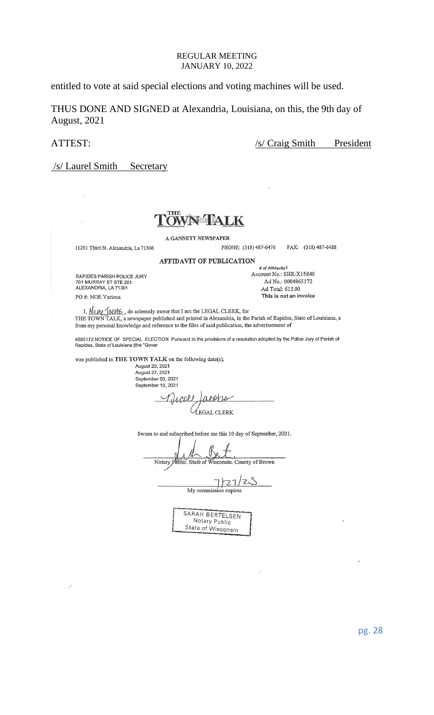entitled to vote at said special elections and voting machines will be used.

THUS DONE AND SIGNED at Alexandria, Louisiana, on this, the 9th day of August, 2021

ATTEST: /s/ Craig Smith President

/s/ Laurel Smith Secretary



11201 Third St. Alexandria, La 71306

A GANNETT NEWSPAPER

**AFFIDAVIT OF PUBLICATION** 

PHONE: (318) 487-6476 FAX: (318) 487-6488

# of Affidavits1 Account No.: SHR-X15840

Ad No.: 0004865172 Ad Total: 615.00

This is not an invoice

RAPIDES PARISH POLICE JURY<br>701 MURRAY ST STE 201<br>ALEXANDRIA, LA 71301

PO#: NOE Various

 $\mathcal{I}^{\mathfrak{a}}$ 

I,  $\frac{\mathcal{N}_{\mathcal{U}}\mathcal{U}_{\mathcal{U}}\mathcal{U}_{\mathcal{U}}\mathcal{U}_{\mathcal{U}}\mathcal{U}_{\mathcal{U}}\mathcal{U}_{\mathcal{U}}\mathcal{U}_{\mathcal{U}}\mathcal{U}_{\mathcal{U}}\mathcal{U}_{\mathcal{U}}\mathcal{U}_{\mathcal{U}}\mathcal{U}_{\mathcal{U}}\mathcal{U}_{\mathcal{U}}\mathcal{U}_{\mathcal{U}}\mathcal{U}_{\mathcal{U}}\mathcal{U}_{\mathcal{U}}\mathcal{U}_{\mathcal{U}}\mathcal{U}_{\mathcal{U}}\mathcal{U}_{\mathcal{U$ from my personal knowledge and reference to the files of said publication, the advertisement of

4865172 NOTICE OF SPECIAL ELECTION Pursuant to the provisions of a resolution adopted by the Police Jury of Parish of<br>Rapides, State of Louisiana (the "Gover

was published in THE TOWN TALK on the following date(s):

August 20, 2021 August 27, 2021 September 03, 2021 September 10, 2021

VINCORP aceps **LEGAL CLERK** 

Sworn to and subscribed before me this 10 day of September, 2021.

Bei Notary Public. State of Wisconsin. County of Brown

 $7$   $25$ My commission expires SARAH BERTELSEN

Notary Public State of Wisconsin

pg. 28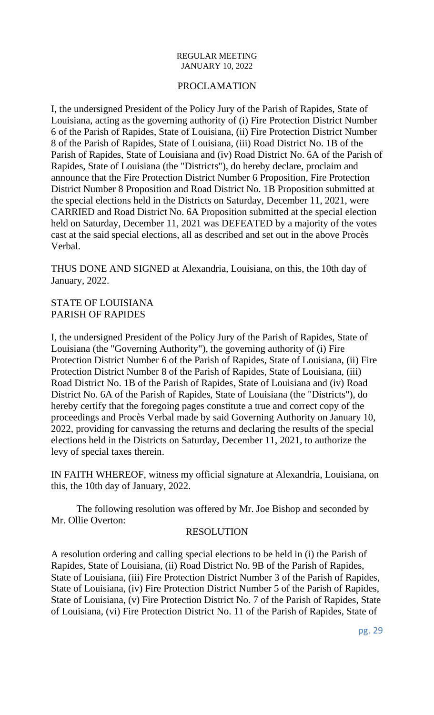### PROCLAMATION

I, the undersigned President of the Policy Jury of the Parish of Rapides, State of Louisiana, acting as the governing authority of (i) Fire Protection District Number 6 of the Parish of Rapides, State of Louisiana, (ii) Fire Protection District Number 8 of the Parish of Rapides, State of Louisiana, (iii) Road District No. 1B of the Parish of Rapides, State of Louisiana and (iv) Road District No. 6A of the Parish of Rapides, State of Louisiana (the "Districts"), do hereby declare, proclaim and announce that the Fire Protection District Number 6 Proposition, Fire Protection District Number 8 Proposition and Road District No. 1B Proposition submitted at the special elections held in the Districts on Saturday, December 11, 2021, were CARRIED and Road District No. 6A Proposition submitted at the special election held on Saturday, December 11, 2021 was DEFEATED by a majority of the votes cast at the said special elections, all as described and set out in the above Procès Verbal.

THUS DONE AND SIGNED at Alexandria, Louisiana, on this, the 10th day of January, 2022.

### STATE OF LOUISIANA PARISH OF RAPIDES

I, the undersigned President of the Policy Jury of the Parish of Rapides, State of Louisiana (the "Governing Authority"), the governing authority of (i) Fire Protection District Number 6 of the Parish of Rapides, State of Louisiana, (ii) Fire Protection District Number 8 of the Parish of Rapides, State of Louisiana, (iii) Road District No. 1B of the Parish of Rapides, State of Louisiana and (iv) Road District No. 6A of the Parish of Rapides, State of Louisiana (the "Districts"), do hereby certify that the foregoing pages constitute a true and correct copy of the proceedings and Procès Verbal made by said Governing Authority on January 10, 2022, providing for canvassing the returns and declaring the results of the special elections held in the Districts on Saturday, December 11, 2021, to authorize the levy of special taxes therein.

IN FAITH WHEREOF, witness my official signature at Alexandria, Louisiana, on this, the 10th day of January, 2022.

The following resolution was offered by Mr. Joe Bishop and seconded by Mr. Ollie Overton:

### RESOLUTION

A resolution ordering and calling special elections to be held in (i) the Parish of Rapides, State of Louisiana, (ii) Road District No. 9B of the Parish of Rapides, State of Louisiana, (iii) Fire Protection District Number 3 of the Parish of Rapides, State of Louisiana, (iv) Fire Protection District Number 5 of the Parish of Rapides, State of Louisiana, (v) Fire Protection District No. 7 of the Parish of Rapides, State of Louisiana, (vi) Fire Protection District No. 11 of the Parish of Rapides, State of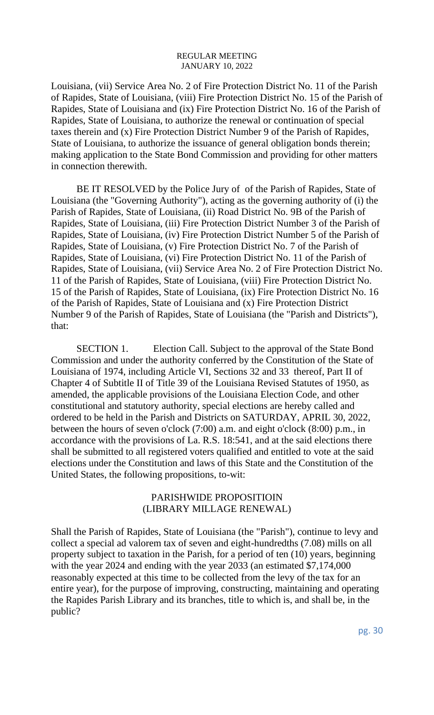Louisiana, (vii) Service Area No. 2 of Fire Protection District No. 11 of the Parish of Rapides, State of Louisiana, (viii) Fire Protection District No. 15 of the Parish of Rapides, State of Louisiana and (ix) Fire Protection District No. 16 of the Parish of Rapides, State of Louisiana, to authorize the renewal or continuation of special taxes therein and (x) Fire Protection District Number 9 of the Parish of Rapides, State of Louisiana, to authorize the issuance of general obligation bonds therein; making application to the State Bond Commission and providing for other matters in connection therewith.

BE IT RESOLVED by the Police Jury of of the Parish of Rapides, State of Louisiana (the "Governing Authority"), acting as the governing authority of (i) the Parish of Rapides, State of Louisiana, (ii) Road District No. 9B of the Parish of Rapides, State of Louisiana, (iii) Fire Protection District Number 3 of the Parish of Rapides, State of Louisiana, (iv) Fire Protection District Number 5 of the Parish of Rapides, State of Louisiana, (v) Fire Protection District No. 7 of the Parish of Rapides, State of Louisiana, (vi) Fire Protection District No. 11 of the Parish of Rapides, State of Louisiana, (vii) Service Area No. 2 of Fire Protection District No. 11 of the Parish of Rapides, State of Louisiana, (viii) Fire Protection District No. 15 of the Parish of Rapides, State of Louisiana, (ix) Fire Protection District No. 16 of the Parish of Rapides, State of Louisiana and (x) Fire Protection District Number 9 of the Parish of Rapides, State of Louisiana (the "Parish and Districts"), that:

SECTION 1. Election Call. Subject to the approval of the State Bond Commission and under the authority conferred by the Constitution of the State of Louisiana of 1974, including Article VI, Sections 32 and 33 thereof, Part II of Chapter 4 of Subtitle II of Title 39 of the Louisiana Revised Statutes of 1950, as amended, the applicable provisions of the Louisiana Election Code, and other constitutional and statutory authority, special elections are hereby called and ordered to be held in the Parish and Districts on SATURDAY, APRIL 30, 2022, between the hours of seven o'clock (7:00) a.m. and eight o'clock (8:00) p.m., in accordance with the provisions of La. R.S. 18:541, and at the said elections there shall be submitted to all registered voters qualified and entitled to vote at the said elections under the Constitution and laws of this State and the Constitution of the United States, the following propositions, to-wit:

### PARISHWIDE PROPOSITIOIN (LIBRARY MILLAGE RENEWAL)

Shall the Parish of Rapides, State of Louisiana (the "Parish"), continue to levy and collect a special ad valorem tax of seven and eight-hundredths (7.08) mills on all property subject to taxation in the Parish, for a period of ten (10) years, beginning with the year 2024 and ending with the year 2033 (an estimated \$7,174,000) reasonably expected at this time to be collected from the levy of the tax for an entire year), for the purpose of improving, constructing, maintaining and operating the Rapides Parish Library and its branches, title to which is, and shall be, in the public?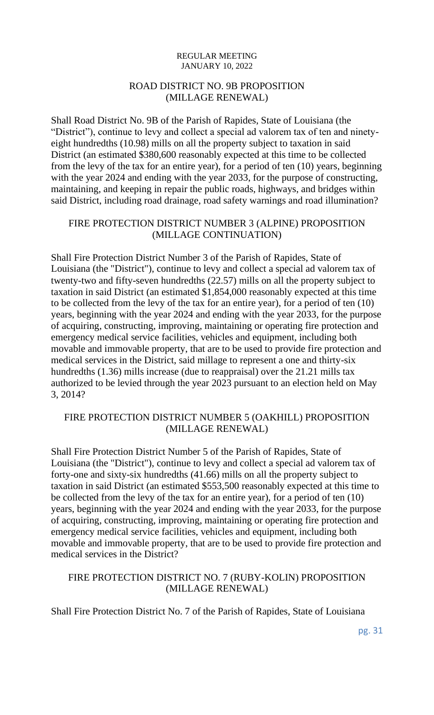# ROAD DISTRICT NO. 9B PROPOSITION (MILLAGE RENEWAL)

Shall Road District No. 9B of the Parish of Rapides, State of Louisiana (the "District"), continue to levy and collect a special ad valorem tax of ten and ninetyeight hundredths (10.98) mills on all the property subject to taxation in said District (an estimated \$380,600 reasonably expected at this time to be collected from the levy of the tax for an entire year), for a period of ten (10) years, beginning with the year 2024 and ending with the year 2033, for the purpose of constructing, maintaining, and keeping in repair the public roads, highways, and bridges within said District, including road drainage, road safety warnings and road illumination?

# FIRE PROTECTION DISTRICT NUMBER 3 (ALPINE) PROPOSITION (MILLAGE CONTINUATION)

Shall Fire Protection District Number 3 of the Parish of Rapides, State of Louisiana (the "District"), continue to levy and collect a special ad valorem tax of twenty-two and fifty-seven hundredths (22.57) mills on all the property subject to taxation in said District (an estimated \$1,854,000 reasonably expected at this time to be collected from the levy of the tax for an entire year), for a period of ten (10) years, beginning with the year 2024 and ending with the year 2033, for the purpose of acquiring, constructing, improving, maintaining or operating fire protection and emergency medical service facilities, vehicles and equipment, including both movable and immovable property, that are to be used to provide fire protection and medical services in the District, said millage to represent a one and thirty-six hundredths (1.36) mills increase (due to reappraisal) over the 21.21 mills tax authorized to be levied through the year 2023 pursuant to an election held on May 3, 2014?

### FIRE PROTECTION DISTRICT NUMBER 5 (OAKHILL) PROPOSITION (MILLAGE RENEWAL)

Shall Fire Protection District Number 5 of the Parish of Rapides, State of Louisiana (the "District"), continue to levy and collect a special ad valorem tax of forty-one and sixty-six hundredths (41.66) mills on all the property subject to taxation in said District (an estimated \$553,500 reasonably expected at this time to be collected from the levy of the tax for an entire year), for a period of ten (10) years, beginning with the year 2024 and ending with the year 2033, for the purpose of acquiring, constructing, improving, maintaining or operating fire protection and emergency medical service facilities, vehicles and equipment, including both movable and immovable property, that are to be used to provide fire protection and medical services in the District?

# FIRE PROTECTION DISTRICT NO. 7 (RUBY-KOLIN) PROPOSITION (MILLAGE RENEWAL)

Shall Fire Protection District No. 7 of the Parish of Rapides, State of Louisiana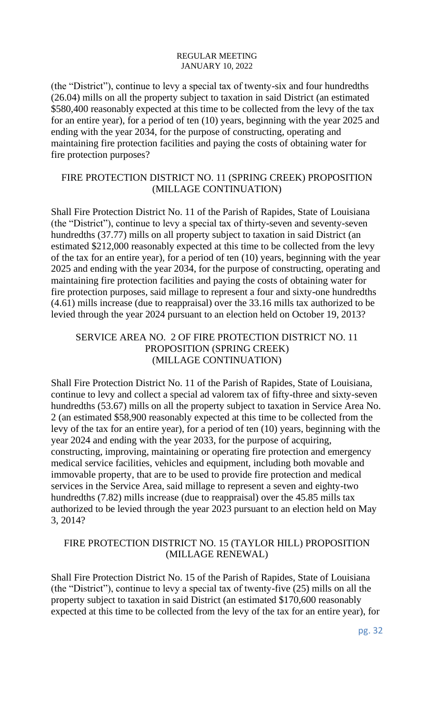(the "District"), continue to levy a special tax of twenty-six and four hundredths (26.04) mills on all the property subject to taxation in said District (an estimated \$580,400 reasonably expected at this time to be collected from the levy of the tax for an entire year), for a period of ten (10) years, beginning with the year 2025 and ending with the year 2034, for the purpose of constructing, operating and maintaining fire protection facilities and paying the costs of obtaining water for fire protection purposes?

# FIRE PROTECTION DISTRICT NO. 11 (SPRING CREEK) PROPOSITION (MILLAGE CONTINUATION)

Shall Fire Protection District No. 11 of the Parish of Rapides, State of Louisiana (the "District"), continue to levy a special tax of thirty-seven and seventy-seven hundredths (37.77) mills on all property subject to taxation in said District (an estimated \$212,000 reasonably expected at this time to be collected from the levy of the tax for an entire year), for a period of ten (10) years, beginning with the year 2025 and ending with the year 2034, for the purpose of constructing, operating and maintaining fire protection facilities and paying the costs of obtaining water for fire protection purposes, said millage to represent a four and sixty-one hundredths (4.61) mills increase (due to reappraisal) over the 33.16 mills tax authorized to be levied through the year 2024 pursuant to an election held on October 19, 2013?

# SERVICE AREA NO. 2 OF FIRE PROTECTION DISTRICT NO. 11 PROPOSITION (SPRING CREEK) (MILLAGE CONTINUATION)

Shall Fire Protection District No. 11 of the Parish of Rapides, State of Louisiana, continue to levy and collect a special ad valorem tax of fifty-three and sixty-seven hundredths (53.67) mills on all the property subject to taxation in Service Area No. 2 (an estimated \$58,900 reasonably expected at this time to be collected from the levy of the tax for an entire year), for a period of ten (10) years, beginning with the year 2024 and ending with the year 2033, for the purpose of acquiring, constructing, improving, maintaining or operating fire protection and emergency medical service facilities, vehicles and equipment, including both movable and immovable property, that are to be used to provide fire protection and medical services in the Service Area, said millage to represent a seven and eighty-two hundredths (7.82) mills increase (due to reappraisal) over the 45.85 mills tax authorized to be levied through the year 2023 pursuant to an election held on May 3, 2014?

# FIRE PROTECTION DISTRICT NO. 15 (TAYLOR HILL) PROPOSITION (MILLAGE RENEWAL)

Shall Fire Protection District No. 15 of the Parish of Rapides, State of Louisiana (the "District"), continue to levy a special tax of twenty-five (25) mills on all the property subject to taxation in said District (an estimated \$170,600 reasonably expected at this time to be collected from the levy of the tax for an entire year), for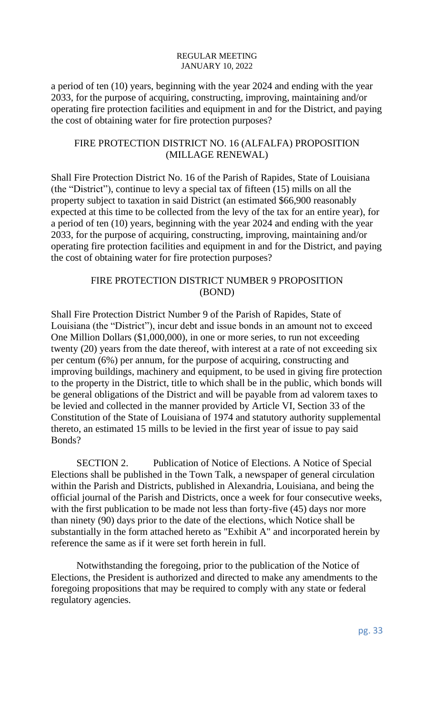a period of ten (10) years, beginning with the year 2024 and ending with the year 2033, for the purpose of acquiring, constructing, improving, maintaining and/or operating fire protection facilities and equipment in and for the District, and paying the cost of obtaining water for fire protection purposes?

### FIRE PROTECTION DISTRICT NO. 16 (ALFALFA) PROPOSITION (MILLAGE RENEWAL)

Shall Fire Protection District No. 16 of the Parish of Rapides, State of Louisiana (the "District"), continue to levy a special tax of fifteen (15) mills on all the property subject to taxation in said District (an estimated \$66,900 reasonably expected at this time to be collected from the levy of the tax for an entire year), for a period of ten (10) years, beginning with the year 2024 and ending with the year 2033, for the purpose of acquiring, constructing, improving, maintaining and/or operating fire protection facilities and equipment in and for the District, and paying the cost of obtaining water for fire protection purposes?

# FIRE PROTECTION DISTRICT NUMBER 9 PROPOSITION (BOND)

Shall Fire Protection District Number 9 of the Parish of Rapides, State of Louisiana (the "District"), incur debt and issue bonds in an amount not to exceed One Million Dollars (\$1,000,000), in one or more series, to run not exceeding twenty (20) years from the date thereof, with interest at a rate of not exceeding six per centum (6%) per annum, for the purpose of acquiring, constructing and improving buildings, machinery and equipment, to be used in giving fire protection to the property in the District, title to which shall be in the public, which bonds will be general obligations of the District and will be payable from ad valorem taxes to be levied and collected in the manner provided by Article VI, Section 33 of the Constitution of the State of Louisiana of 1974 and statutory authority supplemental thereto, an estimated 15 mills to be levied in the first year of issue to pay said Bonds?

SECTION 2. Publication of Notice of Elections. A Notice of Special Elections shall be published in the Town Talk, a newspaper of general circulation within the Parish and Districts, published in Alexandria, Louisiana, and being the official journal of the Parish and Districts, once a week for four consecutive weeks, with the first publication to be made not less than forty-five (45) days nor more than ninety (90) days prior to the date of the elections, which Notice shall be substantially in the form attached hereto as "Exhibit A" and incorporated herein by reference the same as if it were set forth herein in full.

Notwithstanding the foregoing, prior to the publication of the Notice of Elections, the President is authorized and directed to make any amendments to the foregoing propositions that may be required to comply with any state or federal regulatory agencies.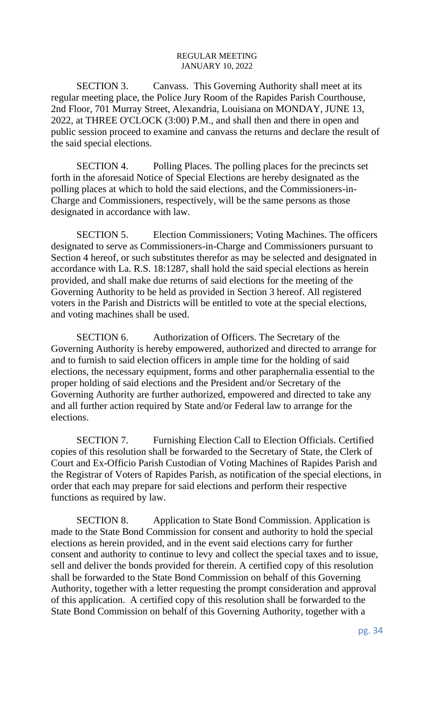SECTION 3. Canvass. This Governing Authority shall meet at its regular meeting place, the Police Jury Room of the Rapides Parish Courthouse, 2nd Floor, 701 Murray Street, Alexandria, Louisiana on MONDAY, JUNE 13, 2022, at THREE O'CLOCK (3:00) P.M., and shall then and there in open and public session proceed to examine and canvass the returns and declare the result of the said special elections.

SECTION 4. Polling Places. The polling places for the precincts set forth in the aforesaid Notice of Special Elections are hereby designated as the polling places at which to hold the said elections, and the Commissioners-in-Charge and Commissioners, respectively, will be the same persons as those designated in accordance with law.

SECTION 5. Election Commissioners; Voting Machines. The officers designated to serve as Commissioners-in-Charge and Commissioners pursuant to Section 4 hereof, or such substitutes therefor as may be selected and designated in accordance with La. R.S. 18:1287, shall hold the said special elections as herein provided, and shall make due returns of said elections for the meeting of the Governing Authority to be held as provided in Section 3 hereof. All registered voters in the Parish and Districts will be entitled to vote at the special elections, and voting machines shall be used.

SECTION 6. Authorization of Officers. The Secretary of the Governing Authority is hereby empowered, authorized and directed to arrange for and to furnish to said election officers in ample time for the holding of said elections, the necessary equipment, forms and other paraphernalia essential to the proper holding of said elections and the President and/or Secretary of the Governing Authority are further authorized, empowered and directed to take any and all further action required by State and/or Federal law to arrange for the elections.

SECTION 7. Furnishing Election Call to Election Officials. Certified copies of this resolution shall be forwarded to the Secretary of State, the Clerk of Court and Ex-Officio Parish Custodian of Voting Machines of Rapides Parish and the Registrar of Voters of Rapides Parish, as notification of the special elections, in order that each may prepare for said elections and perform their respective functions as required by law.

SECTION 8. Application to State Bond Commission. Application is made to the State Bond Commission for consent and authority to hold the special elections as herein provided, and in the event said elections carry for further consent and authority to continue to levy and collect the special taxes and to issue, sell and deliver the bonds provided for therein. A certified copy of this resolution shall be forwarded to the State Bond Commission on behalf of this Governing Authority, together with a letter requesting the prompt consideration and approval of this application. A certified copy of this resolution shall be forwarded to the State Bond Commission on behalf of this Governing Authority, together with a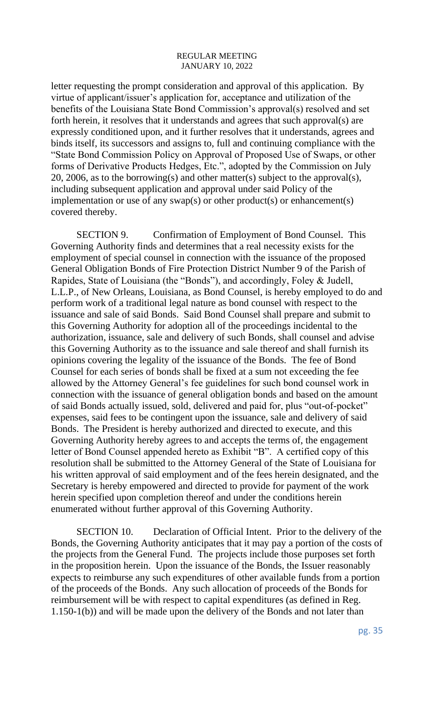letter requesting the prompt consideration and approval of this application. By virtue of applicant/issuer's application for, acceptance and utilization of the benefits of the Louisiana State Bond Commission's approval(s) resolved and set forth herein, it resolves that it understands and agrees that such approval(s) are expressly conditioned upon, and it further resolves that it understands, agrees and binds itself, its successors and assigns to, full and continuing compliance with the "State Bond Commission Policy on Approval of Proposed Use of Swaps, or other forms of Derivative Products Hedges, Etc.", adopted by the Commission on July 20, 2006, as to the borrowing(s) and other matter(s) subject to the approval(s), including subsequent application and approval under said Policy of the implementation or use of any swap(s) or other product(s) or enhancement(s) covered thereby.

SECTION 9. Confirmation of Employment of Bond Counsel. This Governing Authority finds and determines that a real necessity exists for the employment of special counsel in connection with the issuance of the proposed General Obligation Bonds of Fire Protection District Number 9 of the Parish of Rapides, State of Louisiana (the "Bonds"), and accordingly, Foley & Judell, L.L.P., of New Orleans, Louisiana, as Bond Counsel, is hereby employed to do and perform work of a traditional legal nature as bond counsel with respect to the issuance and sale of said Bonds. Said Bond Counsel shall prepare and submit to this Governing Authority for adoption all of the proceedings incidental to the authorization, issuance, sale and delivery of such Bonds, shall counsel and advise this Governing Authority as to the issuance and sale thereof and shall furnish its opinions covering the legality of the issuance of the Bonds. The fee of Bond Counsel for each series of bonds shall be fixed at a sum not exceeding the fee allowed by the Attorney General's fee guidelines for such bond counsel work in connection with the issuance of general obligation bonds and based on the amount of said Bonds actually issued, sold, delivered and paid for, plus "out-of-pocket" expenses, said fees to be contingent upon the issuance, sale and delivery of said Bonds. The President is hereby authorized and directed to execute, and this Governing Authority hereby agrees to and accepts the terms of, the engagement letter of Bond Counsel appended hereto as Exhibit "B". A certified copy of this resolution shall be submitted to the Attorney General of the State of Louisiana for his written approval of said employment and of the fees herein designated, and the Secretary is hereby empowered and directed to provide for payment of the work herein specified upon completion thereof and under the conditions herein enumerated without further approval of this Governing Authority.

SECTION 10. Declaration of Official Intent. Prior to the delivery of the Bonds, the Governing Authority anticipates that it may pay a portion of the costs of the projects from the General Fund. The projects include those purposes set forth in the proposition herein. Upon the issuance of the Bonds, the Issuer reasonably expects to reimburse any such expenditures of other available funds from a portion of the proceeds of the Bonds. Any such allocation of proceeds of the Bonds for reimbursement will be with respect to capital expenditures (as defined in Reg. 1.150-1(b)) and will be made upon the delivery of the Bonds and not later than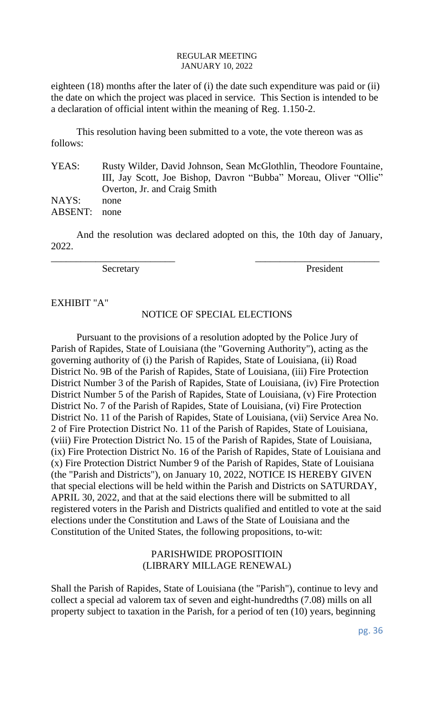eighteen (18) months after the later of (i) the date such expenditure was paid or (ii) the date on which the project was placed in service. This Section is intended to be a declaration of official intent within the meaning of Reg. 1.150-2.

This resolution having been submitted to a vote, the vote thereon was as follows:

YEAS: Rusty Wilder, David Johnson, Sean McGlothlin, Theodore Fountaine, III, Jay Scott, Joe Bishop, Davron "Bubba" Moreau, Oliver "Ollie" Overton, Jr. and Craig Smith NAYS: none ABSENT: none

And the resolution was declared adopted on this, the 10th day of January, 2022.

\_\_\_\_\_\_\_\_\_\_\_\_\_\_\_\_\_\_\_\_\_\_\_\_\_ \_\_\_\_\_\_\_\_\_\_\_\_\_\_\_\_\_\_\_\_\_\_\_\_\_

Secretary President

EXHIBIT "A"

# NOTICE OF SPECIAL ELECTIONS

Pursuant to the provisions of a resolution adopted by the Police Jury of Parish of Rapides, State of Louisiana (the "Governing Authority"), acting as the governing authority of (i) the Parish of Rapides, State of Louisiana, (ii) Road District No. 9B of the Parish of Rapides, State of Louisiana, (iii) Fire Protection District Number 3 of the Parish of Rapides, State of Louisiana, (iv) Fire Protection District Number 5 of the Parish of Rapides, State of Louisiana, (v) Fire Protection District No. 7 of the Parish of Rapides, State of Louisiana, (vi) Fire Protection District No. 11 of the Parish of Rapides, State of Louisiana, (vii) Service Area No. 2 of Fire Protection District No. 11 of the Parish of Rapides, State of Louisiana, (viii) Fire Protection District No. 15 of the Parish of Rapides, State of Louisiana, (ix) Fire Protection District No. 16 of the Parish of Rapides, State of Louisiana and (x) Fire Protection District Number 9 of the Parish of Rapides, State of Louisiana (the "Parish and Districts"), on January 10, 2022, NOTICE IS HEREBY GIVEN that special elections will be held within the Parish and Districts on SATURDAY, APRIL 30, 2022, and that at the said elections there will be submitted to all registered voters in the Parish and Districts qualified and entitled to vote at the said elections under the Constitution and Laws of the State of Louisiana and the Constitution of the United States, the following propositions, to-wit:

# PARISHWIDE PROPOSITIOIN (LIBRARY MILLAGE RENEWAL)

Shall the Parish of Rapides, State of Louisiana (the "Parish"), continue to levy and collect a special ad valorem tax of seven and eight-hundredths (7.08) mills on all property subject to taxation in the Parish, for a period of ten (10) years, beginning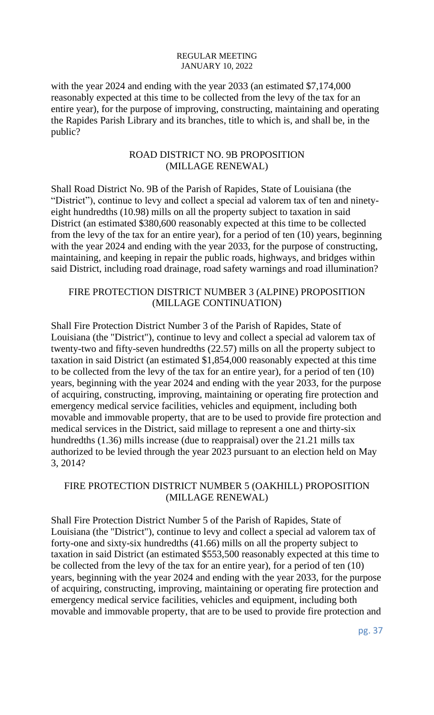with the year 2024 and ending with the year 2033 (an estimated \$7,174,000 reasonably expected at this time to be collected from the levy of the tax for an entire year), for the purpose of improving, constructing, maintaining and operating the Rapides Parish Library and its branches, title to which is, and shall be, in the public?

### ROAD DISTRICT NO. 9B PROPOSITION (MILLAGE RENEWAL)

Shall Road District No. 9B of the Parish of Rapides, State of Louisiana (the "District"), continue to levy and collect a special ad valorem tax of ten and ninetyeight hundredths (10.98) mills on all the property subject to taxation in said District (an estimated \$380,600 reasonably expected at this time to be collected from the levy of the tax for an entire year), for a period of ten (10) years, beginning with the year 2024 and ending with the year 2033, for the purpose of constructing, maintaining, and keeping in repair the public roads, highways, and bridges within said District, including road drainage, road safety warnings and road illumination?

# FIRE PROTECTION DISTRICT NUMBER 3 (ALPINE) PROPOSITION (MILLAGE CONTINUATION)

Shall Fire Protection District Number 3 of the Parish of Rapides, State of Louisiana (the "District"), continue to levy and collect a special ad valorem tax of twenty-two and fifty-seven hundredths (22.57) mills on all the property subject to taxation in said District (an estimated \$1,854,000 reasonably expected at this time to be collected from the levy of the tax for an entire year), for a period of ten (10) years, beginning with the year 2024 and ending with the year 2033, for the purpose of acquiring, constructing, improving, maintaining or operating fire protection and emergency medical service facilities, vehicles and equipment, including both movable and immovable property, that are to be used to provide fire protection and medical services in the District, said millage to represent a one and thirty-six hundredths (1.36) mills increase (due to reappraisal) over the 21.21 mills tax authorized to be levied through the year 2023 pursuant to an election held on May 3, 2014?

# FIRE PROTECTION DISTRICT NUMBER 5 (OAKHILL) PROPOSITION (MILLAGE RENEWAL)

Shall Fire Protection District Number 5 of the Parish of Rapides, State of Louisiana (the "District"), continue to levy and collect a special ad valorem tax of forty-one and sixty-six hundredths (41.66) mills on all the property subject to taxation in said District (an estimated \$553,500 reasonably expected at this time to be collected from the levy of the tax for an entire year), for a period of ten (10) years, beginning with the year 2024 and ending with the year 2033, for the purpose of acquiring, constructing, improving, maintaining or operating fire protection and emergency medical service facilities, vehicles and equipment, including both movable and immovable property, that are to be used to provide fire protection and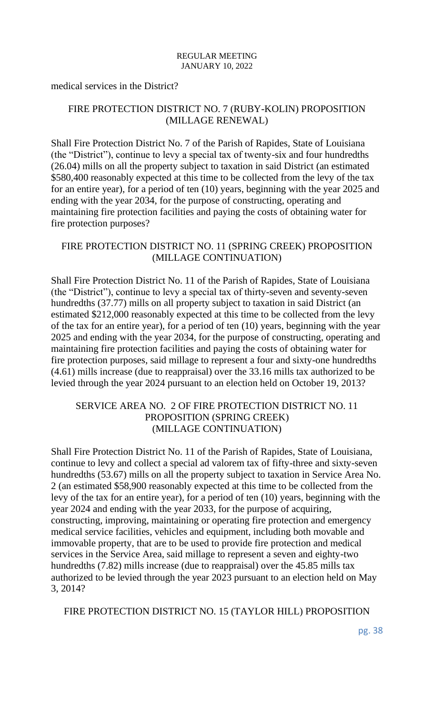medical services in the District?

# FIRE PROTECTION DISTRICT NO. 7 (RUBY-KOLIN) PROPOSITION (MILLAGE RENEWAL)

Shall Fire Protection District No. 7 of the Parish of Rapides, State of Louisiana (the "District"), continue to levy a special tax of twenty-six and four hundredths (26.04) mills on all the property subject to taxation in said District (an estimated \$580,400 reasonably expected at this time to be collected from the levy of the tax for an entire year), for a period of ten (10) years, beginning with the year 2025 and ending with the year 2034, for the purpose of constructing, operating and maintaining fire protection facilities and paying the costs of obtaining water for fire protection purposes?

### FIRE PROTECTION DISTRICT NO. 11 (SPRING CREEK) PROPOSITION (MILLAGE CONTINUATION)

Shall Fire Protection District No. 11 of the Parish of Rapides, State of Louisiana (the "District"), continue to levy a special tax of thirty-seven and seventy-seven hundredths (37.77) mills on all property subject to taxation in said District (an estimated \$212,000 reasonably expected at this time to be collected from the levy of the tax for an entire year), for a period of ten (10) years, beginning with the year 2025 and ending with the year 2034, for the purpose of constructing, operating and maintaining fire protection facilities and paying the costs of obtaining water for fire protection purposes, said millage to represent a four and sixty-one hundredths (4.61) mills increase (due to reappraisal) over the 33.16 mills tax authorized to be levied through the year 2024 pursuant to an election held on October 19, 2013?

### SERVICE AREA NO. 2 OF FIRE PROTECTION DISTRICT NO. 11 PROPOSITION (SPRING CREEK) (MILLAGE CONTINUATION)

Shall Fire Protection District No. 11 of the Parish of Rapides, State of Louisiana, continue to levy and collect a special ad valorem tax of fifty-three and sixty-seven hundredths (53.67) mills on all the property subject to taxation in Service Area No. 2 (an estimated \$58,900 reasonably expected at this time to be collected from the levy of the tax for an entire year), for a period of ten (10) years, beginning with the year 2024 and ending with the year 2033, for the purpose of acquiring, constructing, improving, maintaining or operating fire protection and emergency medical service facilities, vehicles and equipment, including both movable and immovable property, that are to be used to provide fire protection and medical services in the Service Area, said millage to represent a seven and eighty-two hundredths (7.82) mills increase (due to reappraisal) over the 45.85 mills tax authorized to be levied through the year 2023 pursuant to an election held on May 3, 2014?

FIRE PROTECTION DISTRICT NO. 15 (TAYLOR HILL) PROPOSITION

pg. 38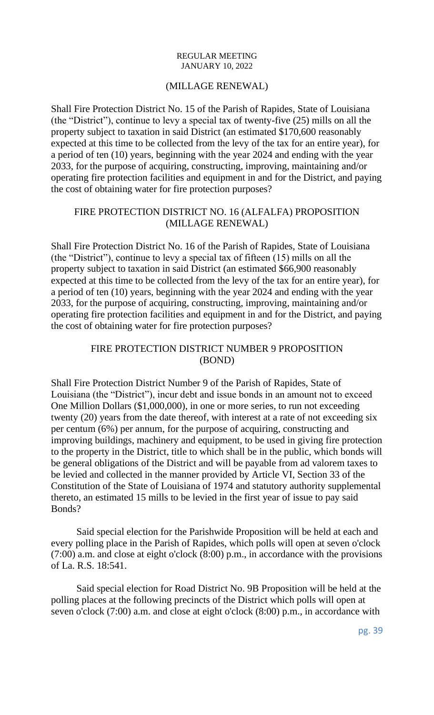### (MILLAGE RENEWAL)

Shall Fire Protection District No. 15 of the Parish of Rapides, State of Louisiana (the "District"), continue to levy a special tax of twenty-five (25) mills on all the property subject to taxation in said District (an estimated \$170,600 reasonably expected at this time to be collected from the levy of the tax for an entire year), for a period of ten (10) years, beginning with the year 2024 and ending with the year 2033, for the purpose of acquiring, constructing, improving, maintaining and/or operating fire protection facilities and equipment in and for the District, and paying the cost of obtaining water for fire protection purposes?

# FIRE PROTECTION DISTRICT NO. 16 (ALFALFA) PROPOSITION (MILLAGE RENEWAL)

Shall Fire Protection District No. 16 of the Parish of Rapides, State of Louisiana (the "District"), continue to levy a special tax of fifteen (15) mills on all the property subject to taxation in said District (an estimated \$66,900 reasonably expected at this time to be collected from the levy of the tax for an entire year), for a period of ten (10) years, beginning with the year 2024 and ending with the year 2033, for the purpose of acquiring, constructing, improving, maintaining and/or operating fire protection facilities and equipment in and for the District, and paying the cost of obtaining water for fire protection purposes?

### FIRE PROTECTION DISTRICT NUMBER 9 PROPOSITION (BOND)

Shall Fire Protection District Number 9 of the Parish of Rapides, State of Louisiana (the "District"), incur debt and issue bonds in an amount not to exceed One Million Dollars (\$1,000,000), in one or more series, to run not exceeding twenty (20) years from the date thereof, with interest at a rate of not exceeding six per centum (6%) per annum, for the purpose of acquiring, constructing and improving buildings, machinery and equipment, to be used in giving fire protection to the property in the District, title to which shall be in the public, which bonds will be general obligations of the District and will be payable from ad valorem taxes to be levied and collected in the manner provided by Article VI, Section 33 of the Constitution of the State of Louisiana of 1974 and statutory authority supplemental thereto, an estimated 15 mills to be levied in the first year of issue to pay said Bonds?

Said special election for the Parishwide Proposition will be held at each and every polling place in the Parish of Rapides, which polls will open at seven o'clock (7:00) a.m. and close at eight o'clock (8:00) p.m., in accordance with the provisions of La. R.S. 18:541.

Said special election for Road District No. 9B Proposition will be held at the polling places at the following precincts of the District which polls will open at seven o'clock (7:00) a.m. and close at eight o'clock (8:00) p.m., in accordance with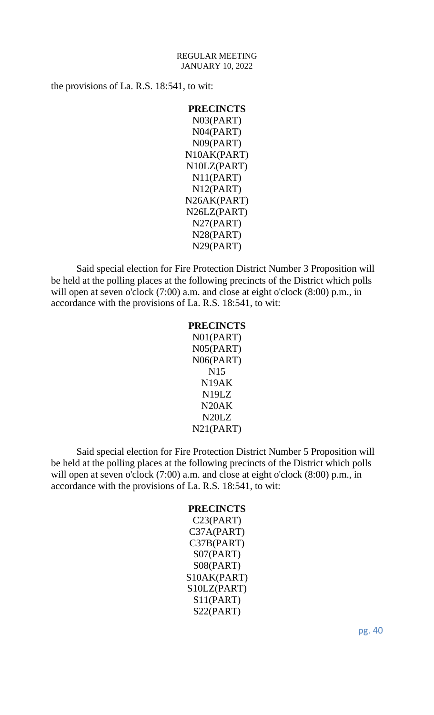the provisions of La. R.S. 18:541, to wit:

```
PRECINCTS
 N03(PART)
 N04(PART)
 N09(PART)
N10AK(PART)
N10LZ(PART)
 N11(PART)
 N12(PART)
N26AK(PART)
N26LZ(PART)
 N27(PART)
 N28(PART)
 N29(PART)
```
Said special election for Fire Protection District Number 3 Proposition will be held at the polling places at the following precincts of the District which polls will open at seven o'clock (7:00) a.m. and close at eight o'clock (8:00) p.m., in accordance with the provisions of La. R.S. 18:541, to wit:

### **PRECINCTS**

N01(PART) N05(PART) N06(PART) N15 N19AK N19LZ N20AK N20LZ N21(PART)

Said special election for Fire Protection District Number 5 Proposition will be held at the polling places at the following precincts of the District which polls will open at seven o'clock (7:00) a.m. and close at eight o'clock (8:00) p.m., in accordance with the provisions of La. R.S. 18:541, to wit:

#### **PRECINCTS**

C23(PART) C37A(PART) C37B(PART) S07(PART) S08(PART) S10AK(PART) S10LZ(PART) S11(PART) S22(PART)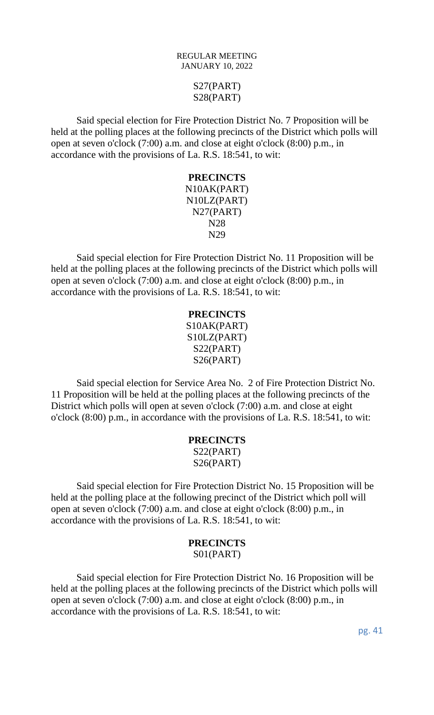# S27(PART) S28(PART)

Said special election for Fire Protection District No. 7 Proposition will be held at the polling places at the following precincts of the District which polls will open at seven o'clock (7:00) a.m. and close at eight o'clock (8:00) p.m., in accordance with the provisions of La. R.S. 18:541, to wit:

### **PRECINCTS** N10AK(PART) N10LZ(PART) N27(PART) N28 N29

Said special election for Fire Protection District No. 11 Proposition will be held at the polling places at the following precincts of the District which polls will open at seven o'clock (7:00) a.m. and close at eight o'clock (8:00) p.m., in accordance with the provisions of La. R.S. 18:541, to wit:

# **PRECINCTS** S10AK(PART) S10LZ(PART) S22(PART) S26(PART)

Said special election for Service Area No. 2 of Fire Protection District No. 11 Proposition will be held at the polling places at the following precincts of the District which polls will open at seven o'clock (7:00) a.m. and close at eight o'clock (8:00) p.m., in accordance with the provisions of La. R.S. 18:541, to wit:

# **PRECINCTS** S22(PART) S26(PART)

Said special election for Fire Protection District No. 15 Proposition will be held at the polling place at the following precinct of the District which poll will open at seven o'clock (7:00) a.m. and close at eight o'clock (8:00) p.m., in accordance with the provisions of La. R.S. 18:541, to wit:

# **PRECINCTS** S01(PART)

Said special election for Fire Protection District No. 16 Proposition will be held at the polling places at the following precincts of the District which polls will open at seven o'clock (7:00) a.m. and close at eight o'clock (8:00) p.m., in accordance with the provisions of La. R.S. 18:541, to wit: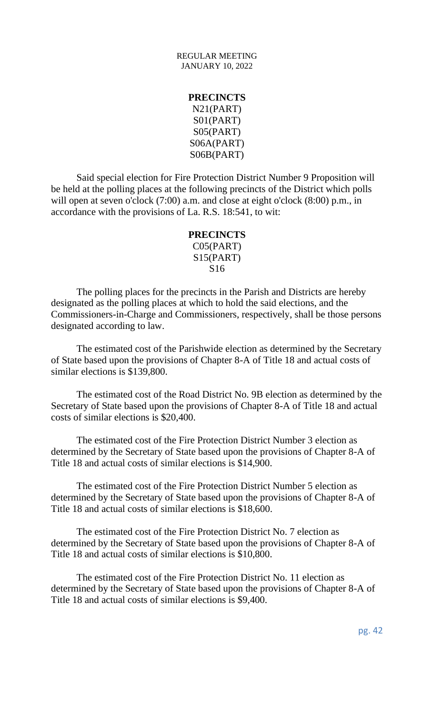# **PRECINCTS** N21(PART) S01(PART) S05(PART) S06A(PART) S06B(PART)

Said special election for Fire Protection District Number 9 Proposition will be held at the polling places at the following precincts of the District which polls will open at seven o'clock (7:00) a.m. and close at eight o'clock (8:00) p.m., in accordance with the provisions of La. R.S. 18:541, to wit:

# **PRECINCTS** C05(PART) S15(PART) S16

The polling places for the precincts in the Parish and Districts are hereby designated as the polling places at which to hold the said elections, and the Commissioners-in-Charge and Commissioners, respectively, shall be those persons designated according to law.

The estimated cost of the Parishwide election as determined by the Secretary of State based upon the provisions of Chapter 8-A of Title 18 and actual costs of similar elections is \$139,800.

The estimated cost of the Road District No. 9B election as determined by the Secretary of State based upon the provisions of Chapter 8-A of Title 18 and actual costs of similar elections is \$20,400.

The estimated cost of the Fire Protection District Number 3 election as determined by the Secretary of State based upon the provisions of Chapter 8-A of Title 18 and actual costs of similar elections is \$14,900.

The estimated cost of the Fire Protection District Number 5 election as determined by the Secretary of State based upon the provisions of Chapter 8-A of Title 18 and actual costs of similar elections is \$18,600.

The estimated cost of the Fire Protection District No. 7 election as determined by the Secretary of State based upon the provisions of Chapter 8-A of Title 18 and actual costs of similar elections is \$10,800.

The estimated cost of the Fire Protection District No. 11 election as determined by the Secretary of State based upon the provisions of Chapter 8-A of Title 18 and actual costs of similar elections is \$9,400.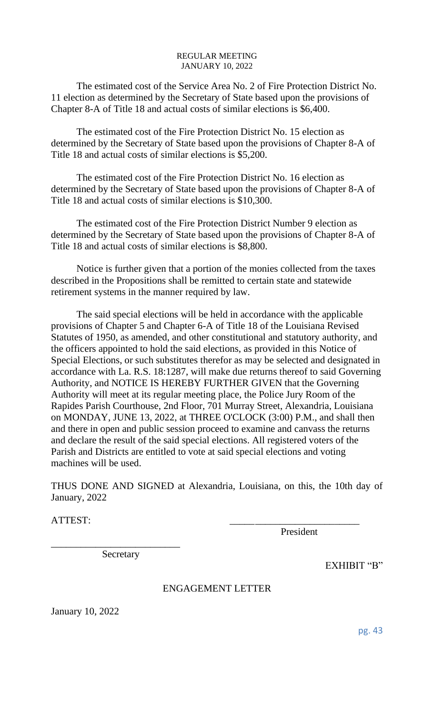The estimated cost of the Service Area No. 2 of Fire Protection District No. 11 election as determined by the Secretary of State based upon the provisions of Chapter 8-A of Title 18 and actual costs of similar elections is \$6,400.

The estimated cost of the Fire Protection District No. 15 election as determined by the Secretary of State based upon the provisions of Chapter 8-A of Title 18 and actual costs of similar elections is \$5,200.

The estimated cost of the Fire Protection District No. 16 election as determined by the Secretary of State based upon the provisions of Chapter 8-A of Title 18 and actual costs of similar elections is \$10,300.

The estimated cost of the Fire Protection District Number 9 election as determined by the Secretary of State based upon the provisions of Chapter 8-A of Title 18 and actual costs of similar elections is \$8,800.

Notice is further given that a portion of the monies collected from the taxes described in the Propositions shall be remitted to certain state and statewide retirement systems in the manner required by law.

The said special elections will be held in accordance with the applicable provisions of Chapter 5 and Chapter 6-A of Title 18 of the Louisiana Revised Statutes of 1950, as amended, and other constitutional and statutory authority, and the officers appointed to hold the said elections, as provided in this Notice of Special Elections, or such substitutes therefor as may be selected and designated in accordance with La. R.S. 18:1287, will make due returns thereof to said Governing Authority, and NOTICE IS HEREBY FURTHER GIVEN that the Governing Authority will meet at its regular meeting place, the Police Jury Room of the Rapides Parish Courthouse, 2nd Floor, 701 Murray Street, Alexandria, Louisiana on MONDAY, JUNE 13, 2022, at THREE O'CLOCK (3:00) P.M., and shall then and there in open and public session proceed to examine and canvass the returns and declare the result of the said special elections. All registered voters of the Parish and Districts are entitled to vote at said special elections and voting machines will be used.

THUS DONE AND SIGNED at Alexandria, Louisiana, on this, the 10th day of January, 2022

ATTEST:

President

Secretary

\_\_\_\_\_\_\_\_\_\_\_\_\_\_\_\_\_\_\_\_\_\_\_\_\_\_

# ENGAGEMENT LETTER

January 10, 2022

pg. 43

EXHIBIT "B"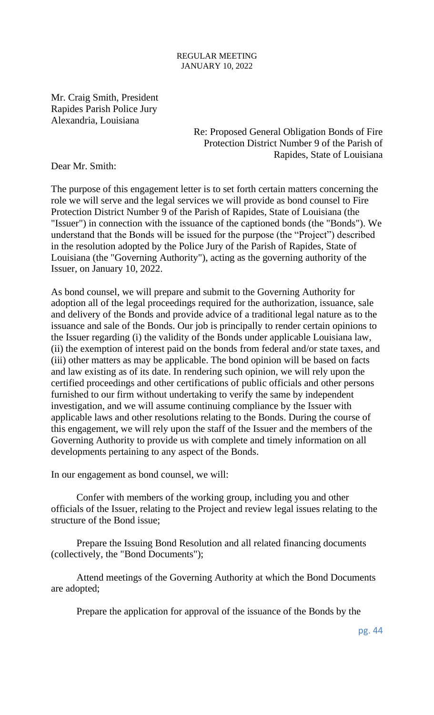Mr. Craig Smith, President Rapides Parish Police Jury Alexandria, Louisiana

> Re: Proposed General Obligation Bonds of Fire Protection District Number 9 of the Parish of Rapides, State of Louisiana

Dear Mr. Smith:

The purpose of this engagement letter is to set forth certain matters concerning the role we will serve and the legal services we will provide as bond counsel to Fire Protection District Number 9 of the Parish of Rapides, State of Louisiana (the "Issuer") in connection with the issuance of the captioned bonds (the "Bonds"). We understand that the Bonds will be issued for the purpose (the "Project") described in the resolution adopted by the Police Jury of the Parish of Rapides, State of Louisiana (the "Governing Authority"), acting as the governing authority of the Issuer, on January 10, 2022.

As bond counsel, we will prepare and submit to the Governing Authority for adoption all of the legal proceedings required for the authorization, issuance, sale and delivery of the Bonds and provide advice of a traditional legal nature as to the issuance and sale of the Bonds. Our job is principally to render certain opinions to the Issuer regarding (i) the validity of the Bonds under applicable Louisiana law, (ii) the exemption of interest paid on the bonds from federal and/or state taxes, and (iii) other matters as may be applicable. The bond opinion will be based on facts and law existing as of its date. In rendering such opinion, we will rely upon the certified proceedings and other certifications of public officials and other persons furnished to our firm without undertaking to verify the same by independent investigation, and we will assume continuing compliance by the Issuer with applicable laws and other resolutions relating to the Bonds. During the course of this engagement, we will rely upon the staff of the Issuer and the members of the Governing Authority to provide us with complete and timely information on all developments pertaining to any aspect of the Bonds.

In our engagement as bond counsel, we will:

Confer with members of the working group, including you and other officials of the Issuer, relating to the Project and review legal issues relating to the structure of the Bond issue;

Prepare the Issuing Bond Resolution and all related financing documents (collectively, the "Bond Documents");

Attend meetings of the Governing Authority at which the Bond Documents are adopted;

Prepare the application for approval of the issuance of the Bonds by the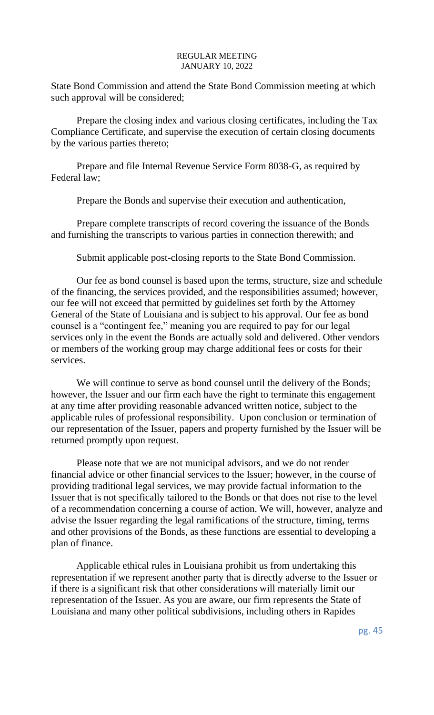State Bond Commission and attend the State Bond Commission meeting at which such approval will be considered;

Prepare the closing index and various closing certificates, including the Tax Compliance Certificate, and supervise the execution of certain closing documents by the various parties thereto;

Prepare and file Internal Revenue Service Form 8038-G, as required by Federal law;

Prepare the Bonds and supervise their execution and authentication,

Prepare complete transcripts of record covering the issuance of the Bonds and furnishing the transcripts to various parties in connection therewith; and

Submit applicable post-closing reports to the State Bond Commission.

Our fee as bond counsel is based upon the terms, structure, size and schedule of the financing, the services provided, and the responsibilities assumed; however, our fee will not exceed that permitted by guidelines set forth by the Attorney General of the State of Louisiana and is subject to his approval. Our fee as bond counsel is a "contingent fee," meaning you are required to pay for our legal services only in the event the Bonds are actually sold and delivered. Other vendors or members of the working group may charge additional fees or costs for their services.

We will continue to serve as bond counsel until the delivery of the Bonds; however, the Issuer and our firm each have the right to terminate this engagement at any time after providing reasonable advanced written notice, subject to the applicable rules of professional responsibility. Upon conclusion or termination of our representation of the Issuer, papers and property furnished by the Issuer will be returned promptly upon request.

Please note that we are not municipal advisors, and we do not render financial advice or other financial services to the Issuer; however, in the course of providing traditional legal services, we may provide factual information to the Issuer that is not specifically tailored to the Bonds or that does not rise to the level of a recommendation concerning a course of action. We will, however, analyze and advise the Issuer regarding the legal ramifications of the structure, timing, terms and other provisions of the Bonds, as these functions are essential to developing a plan of finance.

Applicable ethical rules in Louisiana prohibit us from undertaking this representation if we represent another party that is directly adverse to the Issuer or if there is a significant risk that other considerations will materially limit our representation of the Issuer. As you are aware, our firm represents the State of Louisiana and many other political subdivisions, including others in Rapides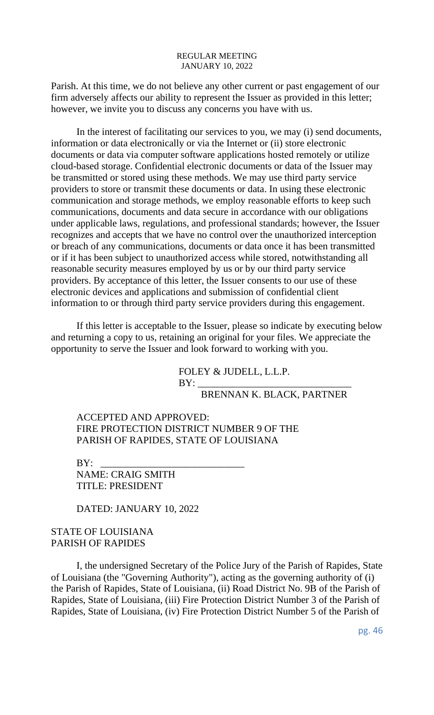Parish. At this time, we do not believe any other current or past engagement of our firm adversely affects our ability to represent the Issuer as provided in this letter; however, we invite you to discuss any concerns you have with us.

In the interest of facilitating our services to you, we may (i) send documents, information or data electronically or via the Internet or (ii) store electronic documents or data via computer software applications hosted remotely or utilize cloud-based storage. Confidential electronic documents or data of the Issuer may be transmitted or stored using these methods. We may use third party service providers to store or transmit these documents or data. In using these electronic communication and storage methods, we employ reasonable efforts to keep such communications, documents and data secure in accordance with our obligations under applicable laws, regulations, and professional standards; however, the Issuer recognizes and accepts that we have no control over the unauthorized interception or breach of any communications, documents or data once it has been transmitted or if it has been subject to unauthorized access while stored, notwithstanding all reasonable security measures employed by us or by our third party service providers. By acceptance of this letter, the Issuer consents to our use of these electronic devices and applications and submission of confidential client information to or through third party service providers during this engagement.

If this letter is acceptable to the Issuer, please so indicate by executing below and returning a copy to us, retaining an original for your files. We appreciate the opportunity to serve the Issuer and look forward to working with you.

> FOLEY & JUDELL, L.L.P.  $BY:$

BRENNAN K. BLACK, PARTNER

ACCEPTED AND APPROVED: FIRE PROTECTION DISTRICT NUMBER 9 OF THE PARISH OF RAPIDES, STATE OF LOUISIANA

BY: \_\_\_\_\_\_\_\_\_\_\_\_\_\_\_\_\_\_\_\_\_\_\_\_\_\_\_\_\_ NAME: CRAIG SMITH TITLE: PRESIDENT

DATED: JANUARY 10, 2022

### STATE OF LOUISIANA PARISH OF RAPIDES

I, the undersigned Secretary of the Police Jury of the Parish of Rapides, State of Louisiana (the "Governing Authority"), acting as the governing authority of (i) the Parish of Rapides, State of Louisiana, (ii) Road District No. 9B of the Parish of Rapides, State of Louisiana, (iii) Fire Protection District Number 3 of the Parish of Rapides, State of Louisiana, (iv) Fire Protection District Number 5 of the Parish of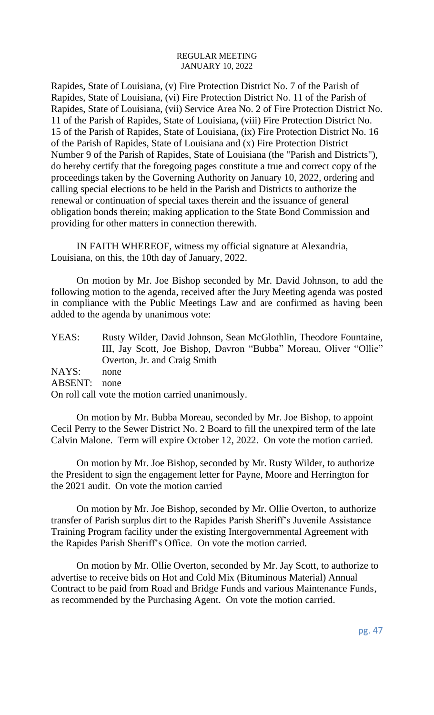Rapides, State of Louisiana, (v) Fire Protection District No. 7 of the Parish of Rapides, State of Louisiana, (vi) Fire Protection District No. 11 of the Parish of Rapides, State of Louisiana, (vii) Service Area No. 2 of Fire Protection District No. 11 of the Parish of Rapides, State of Louisiana, (viii) Fire Protection District No. 15 of the Parish of Rapides, State of Louisiana, (ix) Fire Protection District No. 16 of the Parish of Rapides, State of Louisiana and (x) Fire Protection District Number 9 of the Parish of Rapides, State of Louisiana (the "Parish and Districts"), do hereby certify that the foregoing pages constitute a true and correct copy of the proceedings taken by the Governing Authority on January 10, 2022, ordering and calling special elections to be held in the Parish and Districts to authorize the renewal or continuation of special taxes therein and the issuance of general obligation bonds therein; making application to the State Bond Commission and providing for other matters in connection therewith.

IN FAITH WHEREOF, witness my official signature at Alexandria, Louisiana, on this, the 10th day of January, 2022.

On motion by Mr. Joe Bishop seconded by Mr. David Johnson, to add the following motion to the agenda, received after the Jury Meeting agenda was posted in compliance with the Public Meetings Law and are confirmed as having been added to the agenda by unanimous vote:

| YEAS:   | Rusty Wilder, David Johnson, Sean McGlothlin, Theodore Fountaine, |
|---------|-------------------------------------------------------------------|
|         | III, Jay Scott, Joe Bishop, Davron "Bubba" Moreau, Oliver "Ollie" |
|         | Overton, Jr. and Craig Smith                                      |
| NAYS:   | none                                                              |
| ABSENT: | none                                                              |
|         | On roll call vote the motion carried unanimously.                 |

On motion by Mr. Bubba Moreau, seconded by Mr. Joe Bishop, to appoint Cecil Perry to the Sewer District No. 2 Board to fill the unexpired term of the late Calvin Malone. Term will expire October 12, 2022. On vote the motion carried.

On motion by Mr. Joe Bishop, seconded by Mr. Rusty Wilder, to authorize the President to sign the engagement letter for Payne, Moore and Herrington for the 2021 audit. On vote the motion carried

On motion by Mr. Joe Bishop, seconded by Mr. Ollie Overton, to authorize transfer of Parish surplus dirt to the Rapides Parish Sheriff's Juvenile Assistance Training Program facility under the existing Intergovernmental Agreement with the Rapides Parish Sheriff's Office. On vote the motion carried.

On motion by Mr. Ollie Overton, seconded by Mr. Jay Scott, to authorize to advertise to receive bids on Hot and Cold Mix (Bituminous Material) Annual Contract to be paid from Road and Bridge Funds and various Maintenance Funds, as recommended by the Purchasing Agent. On vote the motion carried.